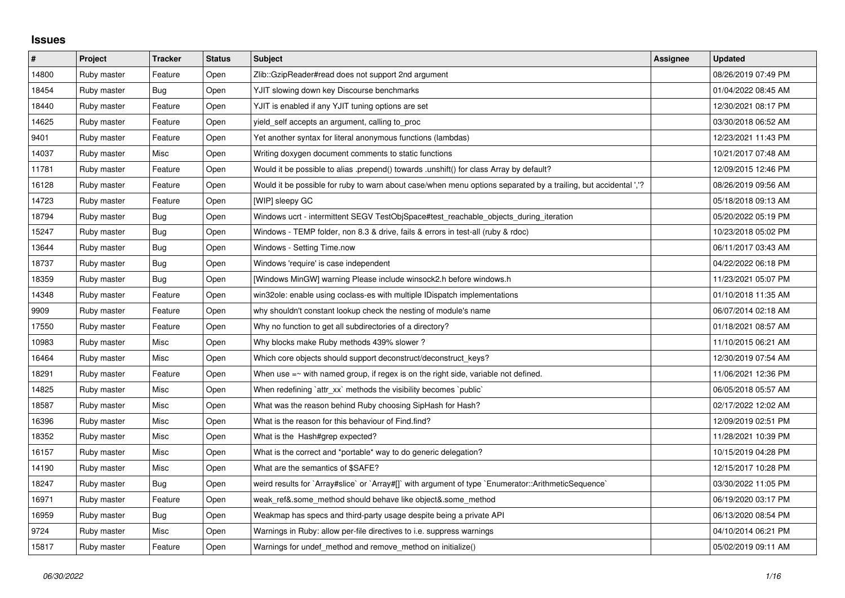## **Issues**

| $\vert$ # | Project     | <b>Tracker</b> | <b>Status</b> | <b>Subject</b>                                                                                                  | Assignee | <b>Updated</b>      |
|-----------|-------------|----------------|---------------|-----------------------------------------------------------------------------------------------------------------|----------|---------------------|
| 14800     | Ruby master | Feature        | Open          | Zlib::GzipReader#read does not support 2nd argument                                                             |          | 08/26/2019 07:49 PM |
| 18454     | Ruby master | Bug            | Open          | YJIT slowing down key Discourse benchmarks                                                                      |          | 01/04/2022 08:45 AM |
| 18440     | Ruby master | Feature        | Open          | YJIT is enabled if any YJIT tuning options are set                                                              |          | 12/30/2021 08:17 PM |
| 14625     | Ruby master | Feature        | Open          | yield_self accepts an argument, calling to_proc                                                                 |          | 03/30/2018 06:52 AM |
| 9401      | Ruby master | Feature        | Open          | Yet another syntax for literal anonymous functions (lambdas)                                                    |          | 12/23/2021 11:43 PM |
| 14037     | Ruby master | Misc           | Open          | Writing doxygen document comments to static functions                                                           |          | 10/21/2017 07:48 AM |
| 11781     | Ruby master | Feature        | Open          | Would it be possible to alias .prepend() towards .unshift() for class Array by default?                         |          | 12/09/2015 12:46 PM |
| 16128     | Ruby master | Feature        | Open          | Would it be possible for ruby to warn about case/when menu options separated by a trailing, but accidental ','? |          | 08/26/2019 09:56 AM |
| 14723     | Ruby master | Feature        | Open          | [WIP] sleepy GC                                                                                                 |          | 05/18/2018 09:13 AM |
| 18794     | Ruby master | <b>Bug</b>     | Open          | Windows ucrt - intermittent SEGV TestObjSpace#test_reachable_objects_during_iteration                           |          | 05/20/2022 05:19 PM |
| 15247     | Ruby master | <b>Bug</b>     | Open          | Windows - TEMP folder, non 8.3 & drive, fails & errors in test-all (ruby & rdoc)                                |          | 10/23/2018 05:02 PM |
| 13644     | Ruby master | <b>Bug</b>     | Open          | Windows - Setting Time.now                                                                                      |          | 06/11/2017 03:43 AM |
| 18737     | Ruby master | <b>Bug</b>     | Open          | Windows 'require' is case independent                                                                           |          | 04/22/2022 06:18 PM |
| 18359     | Ruby master | Bug            | Open          | [Windows MinGW] warning Please include winsock2.h before windows.h                                              |          | 11/23/2021 05:07 PM |
| 14348     | Ruby master | Feature        | Open          | win32ole: enable using coclass-es with multiple IDispatch implementations                                       |          | 01/10/2018 11:35 AM |
| 9909      | Ruby master | Feature        | Open          | why shouldn't constant lookup check the nesting of module's name                                                |          | 06/07/2014 02:18 AM |
| 17550     | Ruby master | Feature        | Open          | Why no function to get all subdirectories of a directory?                                                       |          | 01/18/2021 08:57 AM |
| 10983     | Ruby master | Misc           | Open          | Why blocks make Ruby methods 439% slower?                                                                       |          | 11/10/2015 06:21 AM |
| 16464     | Ruby master | Misc           | Open          | Which core objects should support deconstruct/deconstruct keys?                                                 |          | 12/30/2019 07:54 AM |
| 18291     | Ruby master | Feature        | Open          | When use $=$ $\sim$ with named group, if regex is on the right side, variable not defined.                      |          | 11/06/2021 12:36 PM |
| 14825     | Ruby master | Misc           | Open          | When redefining `attr_xx` methods the visibility becomes `public`                                               |          | 06/05/2018 05:57 AM |
| 18587     | Ruby master | Misc           | Open          | What was the reason behind Ruby choosing SipHash for Hash?                                                      |          | 02/17/2022 12:02 AM |
| 16396     | Ruby master | Misc           | Open          | What is the reason for this behaviour of Find.find?                                                             |          | 12/09/2019 02:51 PM |
| 18352     | Ruby master | Misc           | Open          | What is the Hash#grep expected?                                                                                 |          | 11/28/2021 10:39 PM |
| 16157     | Ruby master | Misc           | Open          | What is the correct and *portable* way to do generic delegation?                                                |          | 10/15/2019 04:28 PM |
| 14190     | Ruby master | Misc           | Open          | What are the semantics of \$SAFE?                                                                               |          | 12/15/2017 10:28 PM |
| 18247     | Ruby master | Bug            | Open          | weird results for `Array#slice` or `Array#[]` with argument of type `Enumerator::ArithmeticSequence`            |          | 03/30/2022 11:05 PM |
| 16971     | Ruby master | Feature        | Open          | weak_ref&.some_method should behave like object&.some_method                                                    |          | 06/19/2020 03:17 PM |
| 16959     | Ruby master | Bug            | Open          | Weakmap has specs and third-party usage despite being a private API                                             |          | 06/13/2020 08:54 PM |
| 9724      | Ruby master | Misc           | Open          | Warnings in Ruby: allow per-file directives to i.e. suppress warnings                                           |          | 04/10/2014 06:21 PM |
| 15817     | Ruby master | Feature        | Open          | Warnings for undef method and remove method on initialize()                                                     |          | 05/02/2019 09:11 AM |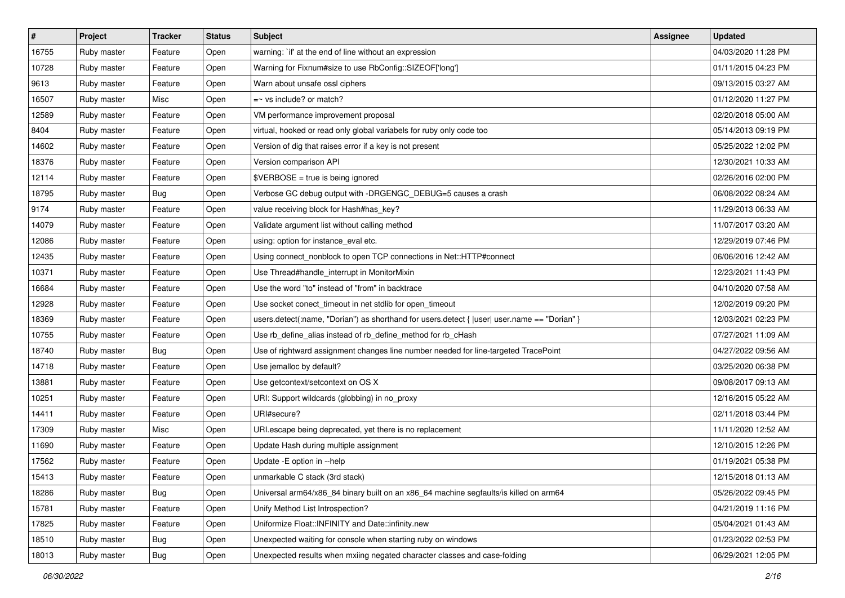| $\vert$ # | Project     | <b>Tracker</b> | <b>Status</b> | <b>Subject</b>                                                                                 | <b>Assignee</b> | <b>Updated</b>      |
|-----------|-------------|----------------|---------------|------------------------------------------------------------------------------------------------|-----------------|---------------------|
| 16755     | Ruby master | Feature        | Open          | warning: `if' at the end of line without an expression                                         |                 | 04/03/2020 11:28 PM |
| 10728     | Ruby master | Feature        | Open          | Warning for Fixnum#size to use RbConfig::SIZEOF['long']                                        |                 | 01/11/2015 04:23 PM |
| 9613      | Ruby master | Feature        | Open          | Warn about unsafe ossl ciphers                                                                 |                 | 09/13/2015 03:27 AM |
| 16507     | Ruby master | Misc           | Open          | =~ vs include? or match?                                                                       |                 | 01/12/2020 11:27 PM |
| 12589     | Ruby master | Feature        | Open          | VM performance improvement proposal                                                            |                 | 02/20/2018 05:00 AM |
| 8404      | Ruby master | Feature        | Open          | virtual, hooked or read only global variabels for ruby only code too                           |                 | 05/14/2013 09:19 PM |
| 14602     | Ruby master | Feature        | Open          | Version of dig that raises error if a key is not present                                       |                 | 05/25/2022 12:02 PM |
| 18376     | Ruby master | Feature        | Open          | Version comparison API                                                                         |                 | 12/30/2021 10:33 AM |
| 12114     | Ruby master | Feature        | Open          | \$VERBOSE = true is being ignored                                                              |                 | 02/26/2016 02:00 PM |
| 18795     | Ruby master | <b>Bug</b>     | Open          | Verbose GC debug output with -DRGENGC_DEBUG=5 causes a crash                                   |                 | 06/08/2022 08:24 AM |
| 9174      | Ruby master | Feature        | Open          | value receiving block for Hash#has_key?                                                        |                 | 11/29/2013 06:33 AM |
| 14079     | Ruby master | Feature        | Open          | Validate argument list without calling method                                                  |                 | 11/07/2017 03:20 AM |
| 12086     | Ruby master | Feature        | Open          | using: option for instance_eval etc.                                                           |                 | 12/29/2019 07:46 PM |
| 12435     | Ruby master | Feature        | Open          | Using connect_nonblock to open TCP connections in Net::HTTP#connect                            |                 | 06/06/2016 12:42 AM |
| 10371     | Ruby master | Feature        | Open          | Use Thread#handle_interrupt in MonitorMixin                                                    |                 | 12/23/2021 11:43 PM |
| 16684     | Ruby master | Feature        | Open          | Use the word "to" instead of "from" in backtrace                                               |                 | 04/10/2020 07:58 AM |
| 12928     | Ruby master | Feature        | Open          | Use socket conect_timeout in net stdlib for open_timeout                                       |                 | 12/02/2019 09:20 PM |
| 18369     | Ruby master | Feature        | Open          | users.detect(:name, "Dorian") as shorthand for users.detect { $ user $ user.name == "Dorian" } |                 | 12/03/2021 02:23 PM |
| 10755     | Ruby master | Feature        | Open          | Use rb_define_alias instead of rb_define_method for rb_cHash                                   |                 | 07/27/2021 11:09 AM |
| 18740     | Ruby master | <b>Bug</b>     | Open          | Use of rightward assignment changes line number needed for line-targeted TracePoint            |                 | 04/27/2022 09:56 AM |
| 14718     | Ruby master | Feature        | Open          | Use jemalloc by default?                                                                       |                 | 03/25/2020 06:38 PM |
| 13881     | Ruby master | Feature        | Open          | Use getcontext/setcontext on OS X                                                              |                 | 09/08/2017 09:13 AM |
| 10251     | Ruby master | Feature        | Open          | URI: Support wildcards (globbing) in no_proxy                                                  |                 | 12/16/2015 05:22 AM |
| 14411     | Ruby master | Feature        | Open          | URI#secure?                                                                                    |                 | 02/11/2018 03:44 PM |
| 17309     | Ruby master | Misc           | Open          | URI escape being deprecated, yet there is no replacement                                       |                 | 11/11/2020 12:52 AM |
| 11690     | Ruby master | Feature        | Open          | Update Hash during multiple assignment                                                         |                 | 12/10/2015 12:26 PM |
| 17562     | Ruby master | Feature        | Open          | Update - E option in --help                                                                    |                 | 01/19/2021 05:38 PM |
| 15413     | Ruby master | Feature        | Open          | unmarkable C stack (3rd stack)                                                                 |                 | 12/15/2018 01:13 AM |
| 18286     | Ruby master | Bug            | Open          | Universal arm64/x86 84 binary built on an x86 64 machine segfaults/is killed on arm64          |                 | 05/26/2022 09:45 PM |
| 15781     | Ruby master | Feature        | Open          | Unify Method List Introspection?                                                               |                 | 04/21/2019 11:16 PM |
| 17825     | Ruby master | Feature        | Open          | Uniformize Float::INFINITY and Date::infinity.new                                              |                 | 05/04/2021 01:43 AM |
| 18510     | Ruby master | <b>Bug</b>     | Open          | Unexpected waiting for console when starting ruby on windows                                   |                 | 01/23/2022 02:53 PM |
| 18013     | Ruby master | Bug            | Open          | Unexpected results when mxiing negated character classes and case-folding                      |                 | 06/29/2021 12:05 PM |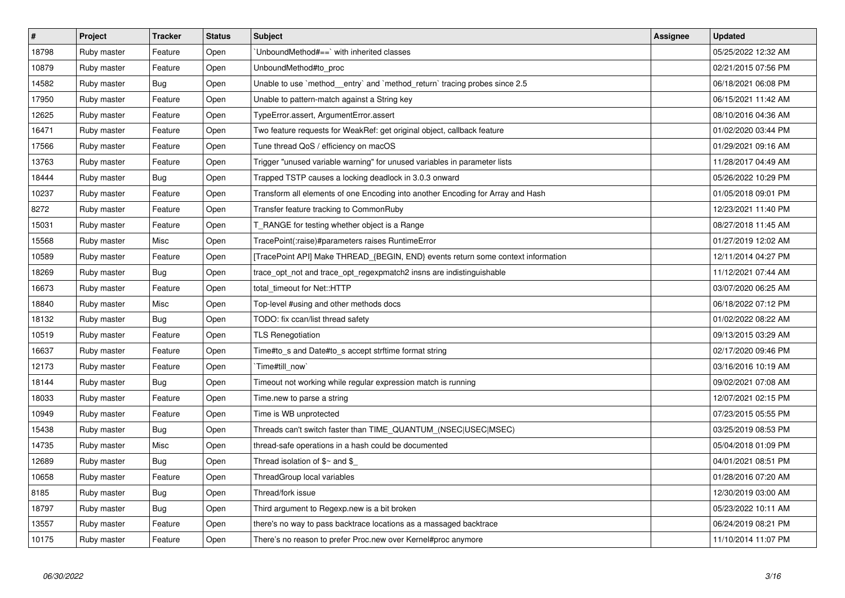| $\vert$ # | Project     | <b>Tracker</b> | <b>Status</b> | <b>Subject</b>                                                                   | Assignee | <b>Updated</b>      |
|-----------|-------------|----------------|---------------|----------------------------------------------------------------------------------|----------|---------------------|
| 18798     | Ruby master | Feature        | Open          | UnboundMethod#==`with inherited classes                                          |          | 05/25/2022 12:32 AM |
| 10879     | Ruby master | Feature        | Open          | UnboundMethod#to_proc                                                            |          | 02/21/2015 07:56 PM |
| 14582     | Ruby master | Bug            | Open          | Unable to use `method entry` and `method return` tracing probes since 2.5        |          | 06/18/2021 06:08 PM |
| 17950     | Ruby master | Feature        | Open          | Unable to pattern-match against a String key                                     |          | 06/15/2021 11:42 AM |
| 12625     | Ruby master | Feature        | Open          | TypeError.assert, ArgumentError.assert                                           |          | 08/10/2016 04:36 AM |
| 16471     | Ruby master | Feature        | Open          | Two feature requests for WeakRef: get original object, callback feature          |          | 01/02/2020 03:44 PM |
| 17566     | Ruby master | Feature        | Open          | Tune thread QoS / efficiency on macOS                                            |          | 01/29/2021 09:16 AM |
| 13763     | Ruby master | Feature        | Open          | Trigger "unused variable warning" for unused variables in parameter lists        |          | 11/28/2017 04:49 AM |
| 18444     | Ruby master | Bug            | Open          | Trapped TSTP causes a locking deadlock in 3.0.3 onward                           |          | 05/26/2022 10:29 PM |
| 10237     | Ruby master | Feature        | Open          | Transform all elements of one Encoding into another Encoding for Array and Hash  |          | 01/05/2018 09:01 PM |
| 8272      | Ruby master | Feature        | Open          | Transfer feature tracking to CommonRuby                                          |          | 12/23/2021 11:40 PM |
| 15031     | Ruby master | Feature        | Open          | T_RANGE for testing whether object is a Range                                    |          | 08/27/2018 11:45 AM |
| 15568     | Ruby master | Misc           | Open          | TracePoint(:raise)#parameters raises RuntimeError                                |          | 01/27/2019 12:02 AM |
| 10589     | Ruby master | Feature        | Open          | [TracePoint API] Make THREAD_{BEGIN, END} events return some context information |          | 12/11/2014 04:27 PM |
| 18269     | Ruby master | <b>Bug</b>     | Open          | trace_opt_not and trace_opt_regexpmatch2 insns are indistinguishable             |          | 11/12/2021 07:44 AM |
| 16673     | Ruby master | Feature        | Open          | total_timeout for Net::HTTP                                                      |          | 03/07/2020 06:25 AM |
| 18840     | Ruby master | Misc           | Open          | Top-level #using and other methods docs                                          |          | 06/18/2022 07:12 PM |
| 18132     | Ruby master | Bug            | Open          | TODO: fix ccan/list thread safety                                                |          | 01/02/2022 08:22 AM |
| 10519     | Ruby master | Feature        | Open          | <b>TLS Renegotiation</b>                                                         |          | 09/13/2015 03:29 AM |
| 16637     | Ruby master | Feature        | Open          | Time#to_s and Date#to_s accept strftime format string                            |          | 02/17/2020 09:46 PM |
| 12173     | Ruby master | Feature        | Open          | `Time#till_now`                                                                  |          | 03/16/2016 10:19 AM |
| 18144     | Ruby master | Bug            | Open          | Timeout not working while regular expression match is running                    |          | 09/02/2021 07:08 AM |
| 18033     | Ruby master | Feature        | Open          | Time.new to parse a string                                                       |          | 12/07/2021 02:15 PM |
| 10949     | Ruby master | Feature        | Open          | Time is WB unprotected                                                           |          | 07/23/2015 05:55 PM |
| 15438     | Ruby master | Bug            | Open          | Threads can't switch faster than TIME_QUANTUM_(NSEC USEC MSEC)                   |          | 03/25/2019 08:53 PM |
| 14735     | Ruby master | Misc           | Open          | thread-safe operations in a hash could be documented                             |          | 05/04/2018 01:09 PM |
| 12689     | Ruby master | <b>Bug</b>     | Open          | Thread isolation of $$~$ and $$$                                                 |          | 04/01/2021 08:51 PM |
| 10658     | Ruby master | Feature        | Open          | ThreadGroup local variables                                                      |          | 01/28/2016 07:20 AM |
| 8185      | Ruby master | <b>Bug</b>     | Open          | Thread/fork issue                                                                |          | 12/30/2019 03:00 AM |
| 18797     | Ruby master | <b>Bug</b>     | Open          | Third argument to Regexp.new is a bit broken                                     |          | 05/23/2022 10:11 AM |
| 13557     | Ruby master | Feature        | Open          | there's no way to pass backtrace locations as a massaged backtrace               |          | 06/24/2019 08:21 PM |
| 10175     | Ruby master | Feature        | Open          | There's no reason to prefer Proc.new over Kernel#proc anymore                    |          | 11/10/2014 11:07 PM |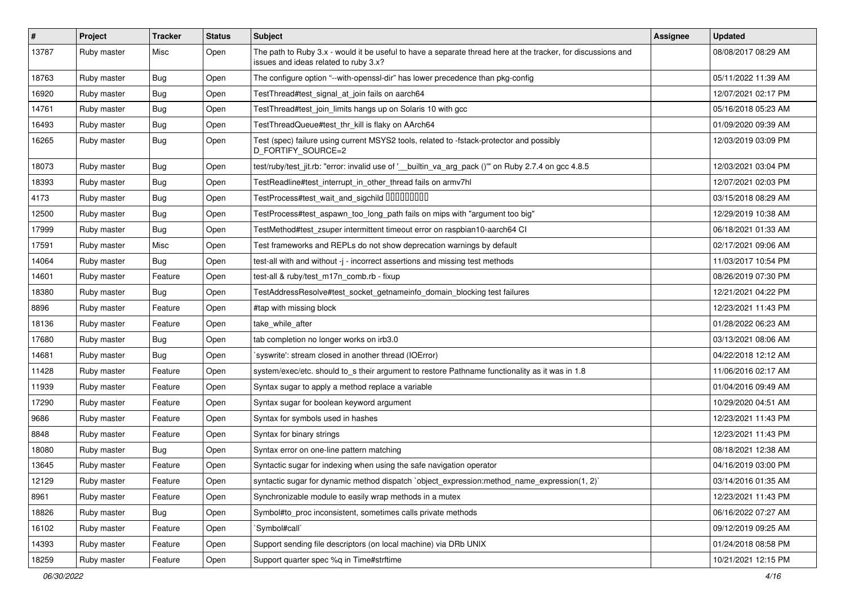| $\vert$ # | Project     | <b>Tracker</b> | <b>Status</b> | <b>Subject</b>                                                                                                                                        | Assignee | <b>Updated</b>      |
|-----------|-------------|----------------|---------------|-------------------------------------------------------------------------------------------------------------------------------------------------------|----------|---------------------|
| 13787     | Ruby master | Misc           | Open          | The path to Ruby 3.x - would it be useful to have a separate thread here at the tracker, for discussions and<br>issues and ideas related to ruby 3.x? |          | 08/08/2017 08:29 AM |
| 18763     | Ruby master | Bug            | Open          | The configure option "--with-openssl-dir" has lower precedence than pkg-config                                                                        |          | 05/11/2022 11:39 AM |
| 16920     | Ruby master | <b>Bug</b>     | Open          | TestThread#test_signal_at_join fails on aarch64                                                                                                       |          | 12/07/2021 02:17 PM |
| 14761     | Ruby master | Bug            | Open          | TestThread#test_join_limits hangs up on Solaris 10 with gcc                                                                                           |          | 05/16/2018 05:23 AM |
| 16493     | Ruby master | <b>Bug</b>     | Open          | TestThreadQueue#test_thr_kill is flaky on AArch64                                                                                                     |          | 01/09/2020 09:39 AM |
| 16265     | Ruby master | <b>Bug</b>     | Open          | Test (spec) failure using current MSYS2 tools, related to -fstack-protector and possibly<br>D_FORTIFY_SOURCE=2                                        |          | 12/03/2019 03:09 PM |
| 18073     | Ruby master | Bug            | Open          | test/ruby/test_jit.rb: "error: invalid use of '__builtin_va_arg_pack ()" on Ruby 2.7.4 on gcc 4.8.5                                                   |          | 12/03/2021 03:04 PM |
| 18393     | Ruby master | <b>Bug</b>     | Open          | TestReadline#test_interrupt_in_other_thread fails on armv7hl                                                                                          |          | 12/07/2021 02:03 PM |
| 4173      | Ruby master | <b>Bug</b>     | Open          | TestProcess#test_wait_and_sigchild DDDDDDDD                                                                                                           |          | 03/15/2018 08:29 AM |
| 12500     | Ruby master | <b>Bug</b>     | Open          | TestProcess#test_aspawn_too_long_path fails on mips with "argument too big"                                                                           |          | 12/29/2019 10:38 AM |
| 17999     | Ruby master | Bug            | Open          | TestMethod#test_zsuper intermittent timeout error on raspbian10-aarch64 CI                                                                            |          | 06/18/2021 01:33 AM |
| 17591     | Ruby master | Misc           | Open          | Test frameworks and REPLs do not show deprecation warnings by default                                                                                 |          | 02/17/2021 09:06 AM |
| 14064     | Ruby master | <b>Bug</b>     | Open          | test-all with and without -j - incorrect assertions and missing test methods                                                                          |          | 11/03/2017 10:54 PM |
| 14601     | Ruby master | Feature        | Open          | test-all & ruby/test m17n comb.rb - fixup                                                                                                             |          | 08/26/2019 07:30 PM |
| 18380     | Ruby master | <b>Bug</b>     | Open          | TestAddressResolve#test_socket_getnameinfo_domain_blocking test failures                                                                              |          | 12/21/2021 04:22 PM |
| 8896      | Ruby master | Feature        | Open          | #tap with missing block                                                                                                                               |          | 12/23/2021 11:43 PM |
| 18136     | Ruby master | Feature        | Open          | take_while_after                                                                                                                                      |          | 01/28/2022 06:23 AM |
| 17680     | Ruby master | <b>Bug</b>     | Open          | tab completion no longer works on irb3.0                                                                                                              |          | 03/13/2021 08:06 AM |
| 14681     | Ruby master | <b>Bug</b>     | Open          | syswrite': stream closed in another thread (IOError)                                                                                                  |          | 04/22/2018 12:12 AM |
| 11428     | Ruby master | Feature        | Open          | system/exec/etc. should to_s their argument to restore Pathname functionality as it was in 1.8                                                        |          | 11/06/2016 02:17 AM |
| 11939     | Ruby master | Feature        | Open          | Syntax sugar to apply a method replace a variable                                                                                                     |          | 01/04/2016 09:49 AM |
| 17290     | Ruby master | Feature        | Open          | Syntax sugar for boolean keyword argument                                                                                                             |          | 10/29/2020 04:51 AM |
| 9686      | Ruby master | Feature        | Open          | Syntax for symbols used in hashes                                                                                                                     |          | 12/23/2021 11:43 PM |
| 8848      | Ruby master | Feature        | Open          | Syntax for binary strings                                                                                                                             |          | 12/23/2021 11:43 PM |
| 18080     | Ruby master | <b>Bug</b>     | Open          | Syntax error on one-line pattern matching                                                                                                             |          | 08/18/2021 12:38 AM |
| 13645     | Ruby master | Feature        | Open          | Syntactic sugar for indexing when using the safe navigation operator                                                                                  |          | 04/16/2019 03:00 PM |
| 12129     | Ruby master | Feature        | Open          | syntactic sugar for dynamic method dispatch `object expression: method name expression(1, 2)`                                                         |          | 03/14/2016 01:35 AM |
| 8961      | Ruby master | Feature        | Open          | Synchronizable module to easily wrap methods in a mutex                                                                                               |          | 12/23/2021 11:43 PM |
| 18826     | Ruby master | <b>Bug</b>     | Open          | Symbol#to_proc inconsistent, sometimes calls private methods                                                                                          |          | 06/16/2022 07:27 AM |
| 16102     | Ruby master | Feature        | Open          | `Symbol#call`                                                                                                                                         |          | 09/12/2019 09:25 AM |
| 14393     | Ruby master | Feature        | Open          | Support sending file descriptors (on local machine) via DRb UNIX                                                                                      |          | 01/24/2018 08:58 PM |
| 18259     | Ruby master | Feature        | Open          | Support quarter spec %q in Time#strftime                                                                                                              |          | 10/21/2021 12:15 PM |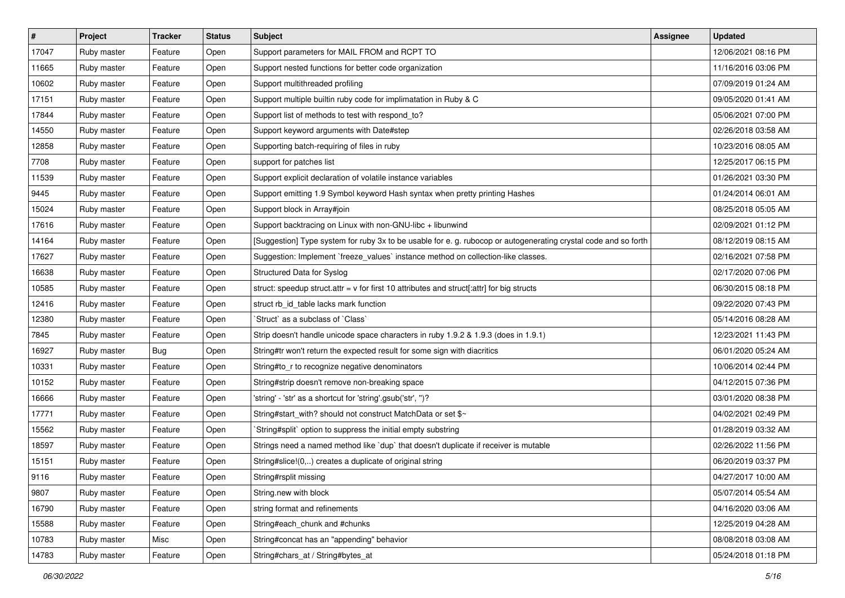| $\vert$ # | Project     | <b>Tracker</b> | <b>Status</b> | <b>Subject</b>                                                                                                  | <b>Assignee</b> | <b>Updated</b>      |
|-----------|-------------|----------------|---------------|-----------------------------------------------------------------------------------------------------------------|-----------------|---------------------|
| 17047     | Ruby master | Feature        | Open          | Support parameters for MAIL FROM and RCPT TO                                                                    |                 | 12/06/2021 08:16 PM |
| 11665     | Ruby master | Feature        | Open          | Support nested functions for better code organization                                                           |                 | 11/16/2016 03:06 PM |
| 10602     | Ruby master | Feature        | Open          | Support multithreaded profiling                                                                                 |                 | 07/09/2019 01:24 AM |
| 17151     | Ruby master | Feature        | Open          | Support multiple builtin ruby code for implimatation in Ruby & C                                                |                 | 09/05/2020 01:41 AM |
| 17844     | Ruby master | Feature        | Open          | Support list of methods to test with respond_to?                                                                |                 | 05/06/2021 07:00 PM |
| 14550     | Ruby master | Feature        | Open          | Support keyword arguments with Date#step                                                                        |                 | 02/26/2018 03:58 AM |
| 12858     | Ruby master | Feature        | Open          | Supporting batch-requiring of files in ruby                                                                     |                 | 10/23/2016 08:05 AM |
| 7708      | Ruby master | Feature        | Open          | support for patches list                                                                                        |                 | 12/25/2017 06:15 PM |
| 11539     | Ruby master | Feature        | Open          | Support explicit declaration of volatile instance variables                                                     |                 | 01/26/2021 03:30 PM |
| 9445      | Ruby master | Feature        | Open          | Support emitting 1.9 Symbol keyword Hash syntax when pretty printing Hashes                                     |                 | 01/24/2014 06:01 AM |
| 15024     | Ruby master | Feature        | Open          | Support block in Array#join                                                                                     |                 | 08/25/2018 05:05 AM |
| 17616     | Ruby master | Feature        | Open          | Support backtracing on Linux with non-GNU-libc + libunwind                                                      |                 | 02/09/2021 01:12 PM |
| 14164     | Ruby master | Feature        | Open          | [Suggestion] Type system for ruby 3x to be usable for e. g. rubocop or autogenerating crystal code and so forth |                 | 08/12/2019 08:15 AM |
| 17627     | Ruby master | Feature        | Open          | Suggestion: Implement `freeze_values` instance method on collection-like classes.                               |                 | 02/16/2021 07:58 PM |
| 16638     | Ruby master | Feature        | Open          | Structured Data for Syslog                                                                                      |                 | 02/17/2020 07:06 PM |
| 10585     | Ruby master | Feature        | Open          | struct: speedup struct.attr = $v$ for first 10 attributes and struct[:attr] for big structs                     |                 | 06/30/2015 08:18 PM |
| 12416     | Ruby master | Feature        | Open          | struct rb_id_table lacks mark function                                                                          |                 | 09/22/2020 07:43 PM |
| 12380     | Ruby master | Feature        | Open          | 'Struct' as a subclass of 'Class'                                                                               |                 | 05/14/2016 08:28 AM |
| 7845      | Ruby master | Feature        | Open          | Strip doesn't handle unicode space characters in ruby 1.9.2 & 1.9.3 (does in 1.9.1)                             |                 | 12/23/2021 11:43 PM |
| 16927     | Ruby master | <b>Bug</b>     | Open          | String#tr won't return the expected result for some sign with diacritics                                        |                 | 06/01/2020 05:24 AM |
| 10331     | Ruby master | Feature        | Open          | String#to_r to recognize negative denominators                                                                  |                 | 10/06/2014 02:44 PM |
| 10152     | Ruby master | Feature        | Open          | String#strip doesn't remove non-breaking space                                                                  |                 | 04/12/2015 07:36 PM |
| 16666     | Ruby master | Feature        | Open          | 'string' - 'str' as a shortcut for 'string'.gsub('str', ")?                                                     |                 | 03/01/2020 08:38 PM |
| 17771     | Ruby master | Feature        | Open          | String#start_with? should not construct MatchData or set \$~                                                    |                 | 04/02/2021 02:49 PM |
| 15562     | Ruby master | Feature        | Open          | String#split` option to suppress the initial empty substring                                                    |                 | 01/28/2019 03:32 AM |
| 18597     | Ruby master | Feature        | Open          | Strings need a named method like 'dup' that doesn't duplicate if receiver is mutable                            |                 | 02/26/2022 11:56 PM |
| 15151     | Ruby master | Feature        | Open          | String#slice!(0,) creates a duplicate of original string                                                        |                 | 06/20/2019 03:37 PM |
| 9116      | Ruby master | Feature        | Open          | String#rsplit missing                                                                                           |                 | 04/27/2017 10:00 AM |
| 9807      | Ruby master | Feature        | Open          | String.new with block                                                                                           |                 | 05/07/2014 05:54 AM |
| 16790     | Ruby master | Feature        | Open          | string format and refinements                                                                                   |                 | 04/16/2020 03:06 AM |
| 15588     | Ruby master | Feature        | Open          | String#each_chunk and #chunks                                                                                   |                 | 12/25/2019 04:28 AM |
| 10783     | Ruby master | Misc           | Open          | String#concat has an "appending" behavior                                                                       |                 | 08/08/2018 03:08 AM |
| 14783     | Ruby master | Feature        | Open          | String#chars_at / String#bytes_at                                                                               |                 | 05/24/2018 01:18 PM |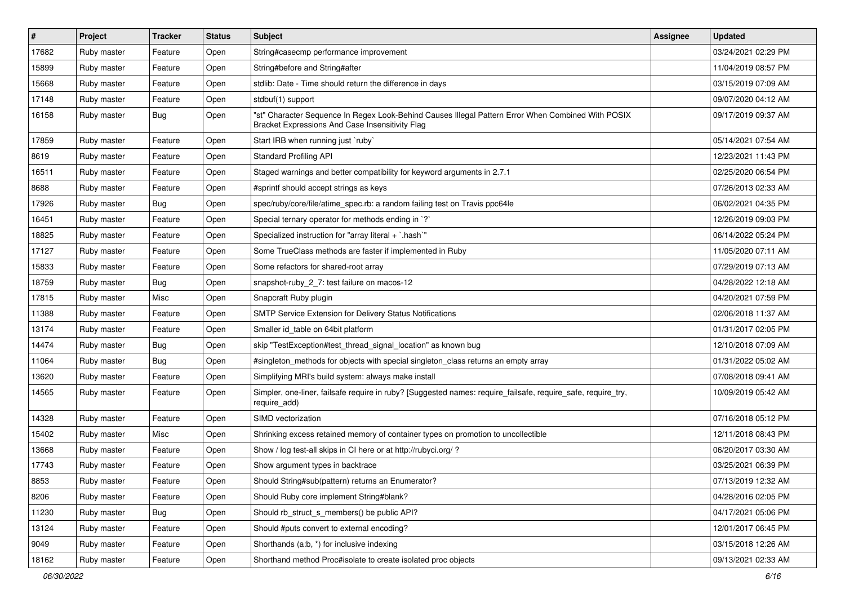| $\sharp$ | Project     | <b>Tracker</b> | <b>Status</b> | <b>Subject</b>                                                                                                                                        | Assignee | <b>Updated</b>      |
|----------|-------------|----------------|---------------|-------------------------------------------------------------------------------------------------------------------------------------------------------|----------|---------------------|
| 17682    | Ruby master | Feature        | Open          | String#casecmp performance improvement                                                                                                                |          | 03/24/2021 02:29 PM |
| 15899    | Ruby master | Feature        | Open          | String#before and String#after                                                                                                                        |          | 11/04/2019 08:57 PM |
| 15668    | Ruby master | Feature        | Open          | stdlib: Date - Time should return the difference in days                                                                                              |          | 03/15/2019 07:09 AM |
| 17148    | Ruby master | Feature        | Open          | stdbuf(1) support                                                                                                                                     |          | 09/07/2020 04:12 AM |
| 16158    | Ruby master | <b>Bug</b>     | Open          | "st" Character Sequence In Regex Look-Behind Causes Illegal Pattern Error When Combined With POSIX<br>Bracket Expressions And Case Insensitivity Flag |          | 09/17/2019 09:37 AM |
| 17859    | Ruby master | Feature        | Open          | Start IRB when running just `ruby`                                                                                                                    |          | 05/14/2021 07:54 AM |
| 8619     | Ruby master | Feature        | Open          | <b>Standard Profiling API</b>                                                                                                                         |          | 12/23/2021 11:43 PM |
| 16511    | Ruby master | Feature        | Open          | Staged warnings and better compatibility for keyword arguments in 2.7.1                                                                               |          | 02/25/2020 06:54 PM |
| 8688     | Ruby master | Feature        | Open          | #sprintf should accept strings as keys                                                                                                                |          | 07/26/2013 02:33 AM |
| 17926    | Ruby master | <b>Bug</b>     | Open          | spec/ruby/core/file/atime_spec.rb: a random failing test on Travis ppc64le                                                                            |          | 06/02/2021 04:35 PM |
| 16451    | Ruby master | Feature        | Open          | Special ternary operator for methods ending in `?`                                                                                                    |          | 12/26/2019 09:03 PM |
| 18825    | Ruby master | Feature        | Open          | Specialized instruction for "array literal + `.hash`"                                                                                                 |          | 06/14/2022 05:24 PM |
| 17127    | Ruby master | Feature        | Open          | Some TrueClass methods are faster if implemented in Ruby                                                                                              |          | 11/05/2020 07:11 AM |
| 15833    | Ruby master | Feature        | Open          | Some refactors for shared-root array                                                                                                                  |          | 07/29/2019 07:13 AM |
| 18759    | Ruby master | <b>Bug</b>     | Open          | snapshot-ruby_2_7: test failure on macos-12                                                                                                           |          | 04/28/2022 12:18 AM |
| 17815    | Ruby master | Misc           | Open          | Snapcraft Ruby plugin                                                                                                                                 |          | 04/20/2021 07:59 PM |
| 11388    | Ruby master | Feature        | Open          | SMTP Service Extension for Delivery Status Notifications                                                                                              |          | 02/06/2018 11:37 AM |
| 13174    | Ruby master | Feature        | Open          | Smaller id table on 64bit platform                                                                                                                    |          | 01/31/2017 02:05 PM |
| 14474    | Ruby master | <b>Bug</b>     | Open          | skip "TestException#test_thread_signal_location" as known bug                                                                                         |          | 12/10/2018 07:09 AM |
| 11064    | Ruby master | <b>Bug</b>     | Open          | #singleton_methods for objects with special singleton_class returns an empty array                                                                    |          | 01/31/2022 05:02 AM |
| 13620    | Ruby master | Feature        | Open          | Simplifying MRI's build system: always make install                                                                                                   |          | 07/08/2018 09:41 AM |
| 14565    | Ruby master | Feature        | Open          | Simpler, one-liner, failsafe require in ruby? [Suggested names: require_failsafe, require_safe, require_try,<br>require_add)                          |          | 10/09/2019 05:42 AM |
| 14328    | Ruby master | Feature        | Open          | SIMD vectorization                                                                                                                                    |          | 07/16/2018 05:12 PM |
| 15402    | Ruby master | Misc           | Open          | Shrinking excess retained memory of container types on promotion to uncollectible                                                                     |          | 12/11/2018 08:43 PM |
| 13668    | Ruby master | Feature        | Open          | Show / log test-all skips in CI here or at http://rubyci.org/?                                                                                        |          | 06/20/2017 03:30 AM |
| 17743    | Ruby master | Feature        | Open          | Show argument types in backtrace                                                                                                                      |          | 03/25/2021 06:39 PM |
| 8853     | Ruby master | Feature        | Open          | Should String#sub(pattern) returns an Enumerator?                                                                                                     |          | 07/13/2019 12:32 AM |
| 8206     | Ruby master | Feature        | Open          | Should Ruby core implement String#blank?                                                                                                              |          | 04/28/2016 02:05 PM |
| 11230    | Ruby master | Bug            | Open          | Should rb_struct_s_members() be public API?                                                                                                           |          | 04/17/2021 05:06 PM |
| 13124    | Ruby master | Feature        | Open          | Should #puts convert to external encoding?                                                                                                            |          | 12/01/2017 06:45 PM |
| 9049     | Ruby master | Feature        | Open          | Shorthands (a.b, *) for inclusive indexing                                                                                                            |          | 03/15/2018 12:26 AM |
| 18162    | Ruby master | Feature        | Open          | Shorthand method Proc#isolate to create isolated proc objects                                                                                         |          | 09/13/2021 02:33 AM |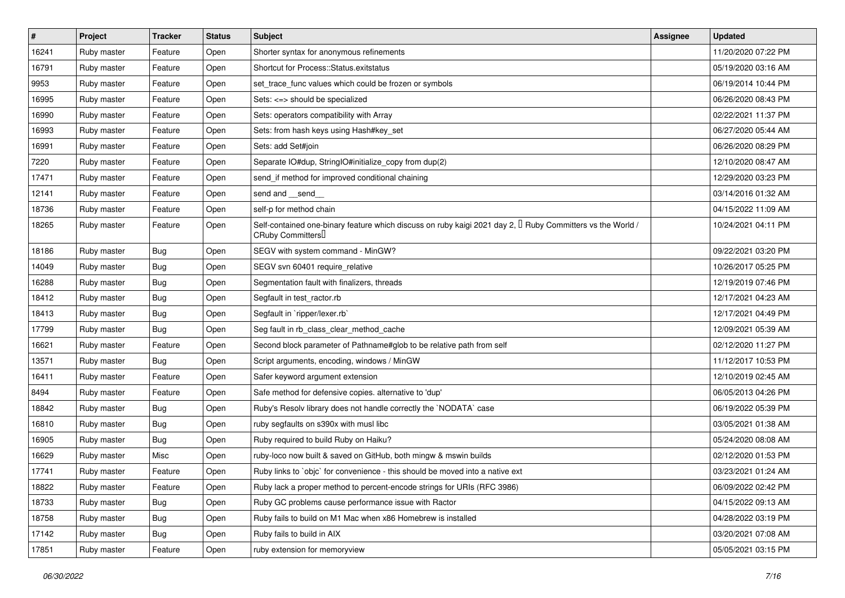| #     | Project     | <b>Tracker</b> | <b>Status</b> | Subject                                                                                                                             | <b>Assignee</b> | <b>Updated</b>      |
|-------|-------------|----------------|---------------|-------------------------------------------------------------------------------------------------------------------------------------|-----------------|---------------------|
| 16241 | Ruby master | Feature        | Open          | Shorter syntax for anonymous refinements                                                                                            |                 | 11/20/2020 07:22 PM |
| 16791 | Ruby master | Feature        | Open          | Shortcut for Process::Status.exitstatus                                                                                             |                 | 05/19/2020 03:16 AM |
| 9953  | Ruby master | Feature        | Open          | set trace func values which could be frozen or symbols                                                                              |                 | 06/19/2014 10:44 PM |
| 16995 | Ruby master | Feature        | Open          | Sets: <=> should be specialized                                                                                                     |                 | 06/26/2020 08:43 PM |
| 16990 | Ruby master | Feature        | Open          | Sets: operators compatibility with Array                                                                                            |                 | 02/22/2021 11:37 PM |
| 16993 | Ruby master | Feature        | Open          | Sets: from hash keys using Hash#key_set                                                                                             |                 | 06/27/2020 05:44 AM |
| 16991 | Ruby master | Feature        | Open          | Sets: add Set#join                                                                                                                  |                 | 06/26/2020 08:29 PM |
| 7220  | Ruby master | Feature        | Open          | Separate IO#dup, StringIO#initialize_copy from dup(2)                                                                               |                 | 12/10/2020 08:47 AM |
| 17471 | Ruby master | Feature        | Open          | send_if method for improved conditional chaining                                                                                    |                 | 12/29/2020 03:23 PM |
| 12141 | Ruby master | Feature        | Open          | send and __send_                                                                                                                    |                 | 03/14/2016 01:32 AM |
| 18736 | Ruby master | Feature        | Open          | self-p for method chain                                                                                                             |                 | 04/15/2022 11:09 AM |
| 18265 | Ruby master | Feature        | Open          | Self-contained one-binary feature which discuss on ruby kaigi 2021 day 2, $\Box$ Ruby Committers vs the World /<br>CRuby Committers |                 | 10/24/2021 04:11 PM |
| 18186 | Ruby master | <b>Bug</b>     | Open          | SEGV with system command - MinGW?                                                                                                   |                 | 09/22/2021 03:20 PM |
| 14049 | Ruby master | Bug            | Open          | SEGV svn 60401 require_relative                                                                                                     |                 | 10/26/2017 05:25 PM |
| 16288 | Ruby master | <b>Bug</b>     | Open          | Segmentation fault with finalizers, threads                                                                                         |                 | 12/19/2019 07:46 PM |
| 18412 | Ruby master | <b>Bug</b>     | Open          | Segfault in test_ractor.rb                                                                                                          |                 | 12/17/2021 04:23 AM |
| 18413 | Ruby master | <b>Bug</b>     | Open          | Segfault in `ripper/lexer.rb`                                                                                                       |                 | 12/17/2021 04:49 PM |
| 17799 | Ruby master | <b>Bug</b>     | Open          | Seg fault in rb_class_clear_method_cache                                                                                            |                 | 12/09/2021 05:39 AM |
| 16621 | Ruby master | Feature        | Open          | Second block parameter of Pathname#glob to be relative path from self                                                               |                 | 02/12/2020 11:27 PM |
| 13571 | Ruby master | <b>Bug</b>     | Open          | Script arguments, encoding, windows / MinGW                                                                                         |                 | 11/12/2017 10:53 PM |
| 16411 | Ruby master | Feature        | Open          | Safer keyword argument extension                                                                                                    |                 | 12/10/2019 02:45 AM |
| 8494  | Ruby master | Feature        | Open          | Safe method for defensive copies. alternative to 'dup'                                                                              |                 | 06/05/2013 04:26 PM |
| 18842 | Ruby master | <b>Bug</b>     | Open          | Ruby's Resolv library does not handle correctly the `NODATA` case                                                                   |                 | 06/19/2022 05:39 PM |
| 16810 | Ruby master | <b>Bug</b>     | Open          | ruby segfaults on s390x with musl libc                                                                                              |                 | 03/05/2021 01:38 AM |
| 16905 | Ruby master | Bug            | Open          | Ruby required to build Ruby on Haiku?                                                                                               |                 | 05/24/2020 08:08 AM |
| 16629 | Ruby master | Misc           | Open          | ruby-loco now built & saved on GitHub, both mingw & mswin builds                                                                    |                 | 02/12/2020 01:53 PM |
| 17741 | Ruby master | Feature        | Open          | Ruby links to `objc` for convenience - this should be moved into a native ext                                                       |                 | 03/23/2021 01:24 AM |
| 18822 | Ruby master | Feature        | Open          | Ruby lack a proper method to percent-encode strings for URIs (RFC 3986)                                                             |                 | 06/09/2022 02:42 PM |
| 18733 | Ruby master | <b>Bug</b>     | Open          | Ruby GC problems cause performance issue with Ractor                                                                                |                 | 04/15/2022 09:13 AM |
| 18758 | Ruby master | Bug            | Open          | Ruby fails to build on M1 Mac when x86 Homebrew is installed                                                                        |                 | 04/28/2022 03:19 PM |
| 17142 | Ruby master | <b>Bug</b>     | Open          | Ruby fails to build in AIX                                                                                                          |                 | 03/20/2021 07:08 AM |
| 17851 | Ruby master | Feature        | Open          | ruby extension for memoryview                                                                                                       |                 | 05/05/2021 03:15 PM |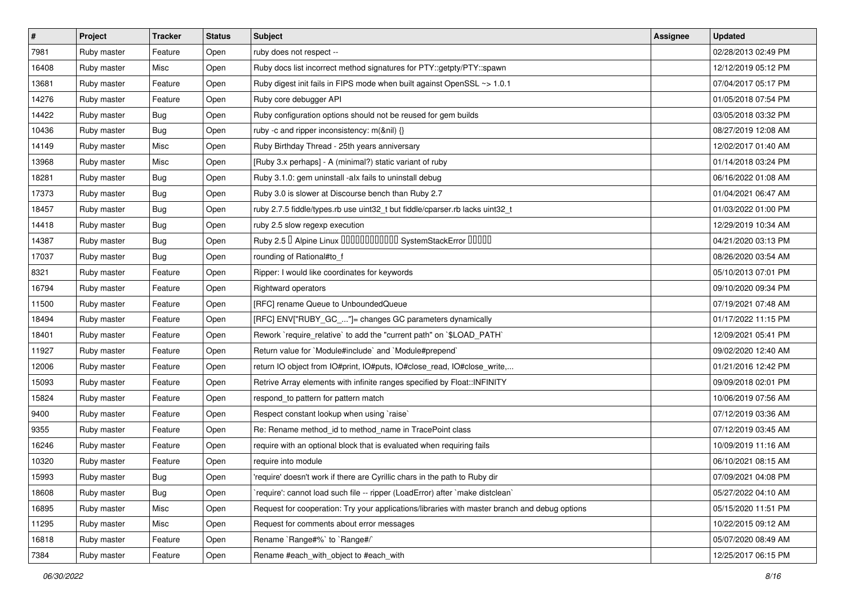| #     | Project     | <b>Tracker</b> | <b>Status</b> | <b>Subject</b>                                                                                | Assignee | <b>Updated</b>      |
|-------|-------------|----------------|---------------|-----------------------------------------------------------------------------------------------|----------|---------------------|
| 7981  | Ruby master | Feature        | Open          | ruby does not respect --                                                                      |          | 02/28/2013 02:49 PM |
| 16408 | Ruby master | Misc           | Open          | Ruby docs list incorrect method signatures for PTY::getpty/PTY::spawn                         |          | 12/12/2019 05:12 PM |
| 13681 | Ruby master | Feature        | Open          | Ruby digest init fails in FIPS mode when built against OpenSSL ~> 1.0.1                       |          | 07/04/2017 05:17 PM |
| 14276 | Ruby master | Feature        | Open          | Ruby core debugger API                                                                        |          | 01/05/2018 07:54 PM |
| 14422 | Ruby master | <b>Bug</b>     | Open          | Ruby configuration options should not be reused for gem builds                                |          | 03/05/2018 03:32 PM |
| 10436 | Ruby master | <b>Bug</b>     | Open          | ruby -c and ripper inconsistency: m(&nil) {}                                                  |          | 08/27/2019 12:08 AM |
| 14149 | Ruby master | Misc           | Open          | Ruby Birthday Thread - 25th years anniversary                                                 |          | 12/02/2017 01:40 AM |
| 13968 | Ruby master | Misc           | Open          | [Ruby 3.x perhaps] - A (minimal?) static variant of ruby                                      |          | 01/14/2018 03:24 PM |
| 18281 | Ruby master | <b>Bug</b>     | Open          | Ruby 3.1.0: gem uninstall -alx fails to uninstall debug                                       |          | 06/16/2022 01:08 AM |
| 17373 | Ruby master | <b>Bug</b>     | Open          | Ruby 3.0 is slower at Discourse bench than Ruby 2.7                                           |          | 01/04/2021 06:47 AM |
| 18457 | Ruby master | <b>Bug</b>     | Open          | ruby 2.7.5 fiddle/types.rb use uint32_t but fiddle/cparser.rb lacks uint32_t                  |          | 01/03/2022 01:00 PM |
| 14418 | Ruby master | <b>Bug</b>     | Open          | ruby 2.5 slow regexp execution                                                                |          | 12/29/2019 10:34 AM |
| 14387 | Ruby master | <b>Bug</b>     | Open          | Ruby 2.5 <sup>D</sup> Alpine Linux <b>DDDDDDDDDDD</b> SystemStackError <b>DDDD</b>            |          | 04/21/2020 03:13 PM |
| 17037 | Ruby master | Bug            | Open          | rounding of Rational#to_f                                                                     |          | 08/26/2020 03:54 AM |
| 8321  | Ruby master | Feature        | Open          | Ripper: I would like coordinates for keywords                                                 |          | 05/10/2013 07:01 PM |
| 16794 | Ruby master | Feature        | Open          | <b>Rightward operators</b>                                                                    |          | 09/10/2020 09:34 PM |
| 11500 | Ruby master | Feature        | Open          | [RFC] rename Queue to UnboundedQueue                                                          |          | 07/19/2021 07:48 AM |
| 18494 | Ruby master | Feature        | Open          | [RFC] ENV["RUBY_GC_"]= changes GC parameters dynamically                                      |          | 01/17/2022 11:15 PM |
| 18401 | Ruby master | Feature        | Open          | Rework `require_relative` to add the "current path" on `\$LOAD_PATH`                          |          | 12/09/2021 05:41 PM |
| 11927 | Ruby master | Feature        | Open          | Return value for `Module#include` and `Module#prepend`                                        |          | 09/02/2020 12:40 AM |
| 12006 | Ruby master | Feature        | Open          | return IO object from IO#print, IO#puts, IO#close_read, IO#close_write,                       |          | 01/21/2016 12:42 PM |
| 15093 | Ruby master | Feature        | Open          | Retrive Array elements with infinite ranges specified by Float::INFINITY                      |          | 09/09/2018 02:01 PM |
| 15824 | Ruby master | Feature        | Open          | respond_to pattern for pattern match                                                          |          | 10/06/2019 07:56 AM |
| 9400  | Ruby master | Feature        | Open          | Respect constant lookup when using `raise`                                                    |          | 07/12/2019 03:36 AM |
| 9355  | Ruby master | Feature        | Open          | Re: Rename method_id to method_name in TracePoint class                                       |          | 07/12/2019 03:45 AM |
| 16246 | Ruby master | Feature        | Open          | require with an optional block that is evaluated when requiring fails                         |          | 10/09/2019 11:16 AM |
| 10320 | Ruby master | Feature        | Open          | require into module                                                                           |          | 06/10/2021 08:15 AM |
| 15993 | Ruby master | Bug            | Open          | 'require' doesn't work if there are Cyrillic chars in the path to Ruby dir                    |          | 07/09/2021 04:08 PM |
| 18608 | Ruby master | <b>Bug</b>     | Open          | 'require': cannot load such file -- ripper (LoadError) after 'make distclean'                 |          | 05/27/2022 04:10 AM |
| 16895 | Ruby master | Misc           | Open          | Request for cooperation: Try your applications/libraries with master branch and debug options |          | 05/15/2020 11:51 PM |
| 11295 | Ruby master | Misc           | Open          | Request for comments about error messages                                                     |          | 10/22/2015 09:12 AM |
| 16818 | Ruby master | Feature        | Open          | Rename `Range#%` to `Range#/`                                                                 |          | 05/07/2020 08:49 AM |
| 7384  | Ruby master | Feature        | Open          | Rename #each_with_object to #each_with                                                        |          | 12/25/2017 06:15 PM |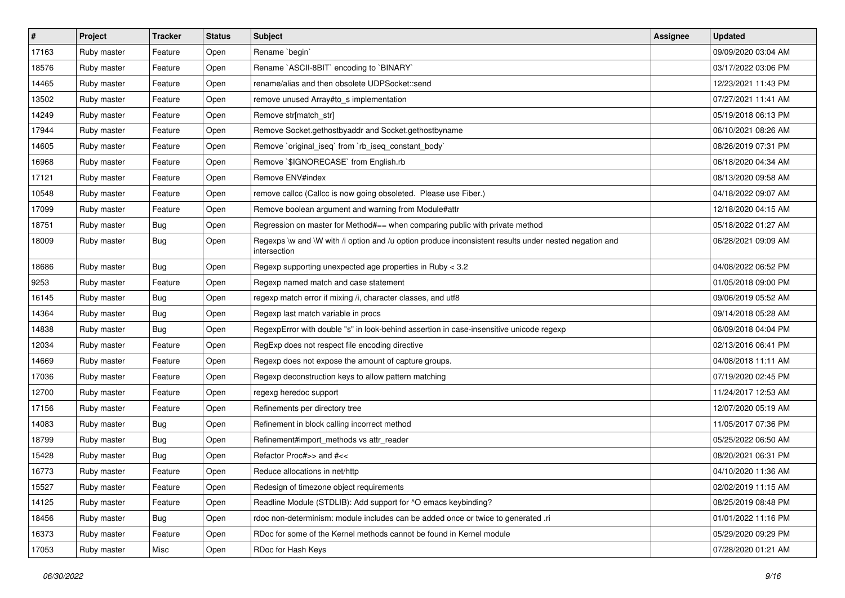| $\vert$ # | Project     | <b>Tracker</b> | <b>Status</b> | Subject                                                                                                               | <b>Assignee</b> | <b>Updated</b>      |
|-----------|-------------|----------------|---------------|-----------------------------------------------------------------------------------------------------------------------|-----------------|---------------------|
| 17163     | Ruby master | Feature        | Open          | Rename `begin`                                                                                                        |                 | 09/09/2020 03:04 AM |
| 18576     | Ruby master | Feature        | Open          | Rename `ASCII-8BIT` encoding to `BINARY`                                                                              |                 | 03/17/2022 03:06 PM |
| 14465     | Ruby master | Feature        | Open          | rename/alias and then obsolete UDPSocket::send                                                                        |                 | 12/23/2021 11:43 PM |
| 13502     | Ruby master | Feature        | Open          | remove unused Array#to_s implementation                                                                               |                 | 07/27/2021 11:41 AM |
| 14249     | Ruby master | Feature        | Open          | Remove str[match_str]                                                                                                 |                 | 05/19/2018 06:13 PM |
| 17944     | Ruby master | Feature        | Open          | Remove Socket.gethostbyaddr and Socket.gethostbyname                                                                  |                 | 06/10/2021 08:26 AM |
| 14605     | Ruby master | Feature        | Open          | Remove `original_iseq` from `rb_iseq_constant_body`                                                                   |                 | 08/26/2019 07:31 PM |
| 16968     | Ruby master | Feature        | Open          | Remove `\$IGNORECASE` from English.rb                                                                                 |                 | 06/18/2020 04:34 AM |
| 17121     | Ruby master | Feature        | Open          | Remove ENV#index                                                                                                      |                 | 08/13/2020 09:58 AM |
| 10548     | Ruby master | Feature        | Open          | remove callcc (Callcc is now going obsoleted. Please use Fiber.)                                                      |                 | 04/18/2022 09:07 AM |
| 17099     | Ruby master | Feature        | Open          | Remove boolean argument and warning from Module#attr                                                                  |                 | 12/18/2020 04:15 AM |
| 18751     | Ruby master | <b>Bug</b>     | Open          | Regression on master for Method#== when comparing public with private method                                          |                 | 05/18/2022 01:27 AM |
| 18009     | Ruby master | Bug            | Open          | Regexps \w and \W with /i option and /u option produce inconsistent results under nested negation and<br>intersection |                 | 06/28/2021 09:09 AM |
| 18686     | Ruby master | Bug            | Open          | Regexp supporting unexpected age properties in Ruby < 3.2                                                             |                 | 04/08/2022 06:52 PM |
| 9253      | Ruby master | Feature        | Open          | Regexp named match and case statement                                                                                 |                 | 01/05/2018 09:00 PM |
| 16145     | Ruby master | <b>Bug</b>     | Open          | regexp match error if mixing /i, character classes, and utf8                                                          |                 | 09/06/2019 05:52 AM |
| 14364     | Ruby master | <b>Bug</b>     | Open          | Regexp last match variable in procs                                                                                   |                 | 09/14/2018 05:28 AM |
| 14838     | Ruby master | Bug            | Open          | RegexpError with double "s" in look-behind assertion in case-insensitive unicode regexp                               |                 | 06/09/2018 04:04 PM |
| 12034     | Ruby master | Feature        | Open          | RegExp does not respect file encoding directive                                                                       |                 | 02/13/2016 06:41 PM |
| 14669     | Ruby master | Feature        | Open          | Regexp does not expose the amount of capture groups.                                                                  |                 | 04/08/2018 11:11 AM |
| 17036     | Ruby master | Feature        | Open          | Regexp deconstruction keys to allow pattern matching                                                                  |                 | 07/19/2020 02:45 PM |
| 12700     | Ruby master | Feature        | Open          | regexg heredoc support                                                                                                |                 | 11/24/2017 12:53 AM |
| 17156     | Ruby master | Feature        | Open          | Refinements per directory tree                                                                                        |                 | 12/07/2020 05:19 AM |
| 14083     | Ruby master | Bug            | Open          | Refinement in block calling incorrect method                                                                          |                 | 11/05/2017 07:36 PM |
| 18799     | Ruby master | <b>Bug</b>     | Open          | Refinement#import methods vs attr reader                                                                              |                 | 05/25/2022 06:50 AM |
| 15428     | Ruby master | <b>Bug</b>     | Open          | Refactor Proc#>> and #<<                                                                                              |                 | 08/20/2021 06:31 PM |
| 16773     | Ruby master | Feature        | Open          | Reduce allocations in net/http                                                                                        |                 | 04/10/2020 11:36 AM |
| 15527     | Ruby master | Feature        | Open          | Redesign of timezone object requirements                                                                              |                 | 02/02/2019 11:15 AM |
| 14125     | Ruby master | Feature        | Open          | Readline Module (STDLIB): Add support for ^O emacs keybinding?                                                        |                 | 08/25/2019 08:48 PM |
| 18456     | Ruby master | Bug            | Open          | rdoc non-determinism: module includes can be added once or twice to generated .ri                                     |                 | 01/01/2022 11:16 PM |
| 16373     | Ruby master | Feature        | Open          | RDoc for some of the Kernel methods cannot be found in Kernel module                                                  |                 | 05/29/2020 09:29 PM |
| 17053     | Ruby master | Misc           | Open          | RDoc for Hash Keys                                                                                                    |                 | 07/28/2020 01:21 AM |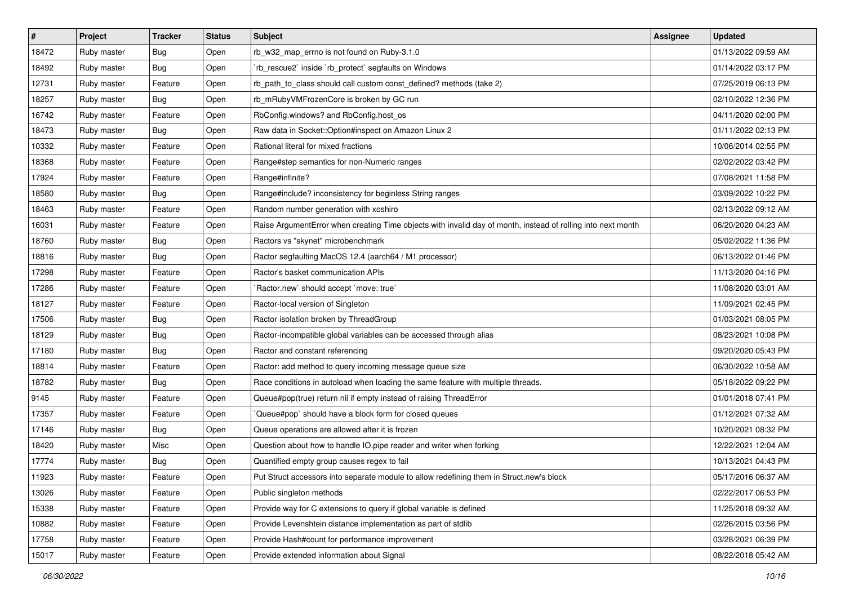| #     | Project     | <b>Tracker</b> | <b>Status</b> | <b>Subject</b>                                                                                               | Assignee | <b>Updated</b>      |
|-------|-------------|----------------|---------------|--------------------------------------------------------------------------------------------------------------|----------|---------------------|
| 18472 | Ruby master | <b>Bug</b>     | Open          | rb_w32_map_errno is not found on Ruby-3.1.0                                                                  |          | 01/13/2022 09:59 AM |
| 18492 | Ruby master | <b>Bug</b>     | Open          | 'rb_rescue2' inside 'rb_protect' segfaults on Windows                                                        |          | 01/14/2022 03:17 PM |
| 12731 | Ruby master | Feature        | Open          | rb_path_to_class should call custom const_defined? methods (take 2)                                          |          | 07/25/2019 06:13 PM |
| 18257 | Ruby master | <b>Bug</b>     | Open          | rb_mRubyVMFrozenCore is broken by GC run                                                                     |          | 02/10/2022 12:36 PM |
| 16742 | Ruby master | Feature        | Open          | RbConfig.windows? and RbConfig.host_os                                                                       |          | 04/11/2020 02:00 PM |
| 18473 | Ruby master | <b>Bug</b>     | Open          | Raw data in Socket:: Option#inspect on Amazon Linux 2                                                        |          | 01/11/2022 02:13 PM |
| 10332 | Ruby master | Feature        | Open          | Rational literal for mixed fractions                                                                         |          | 10/06/2014 02:55 PM |
| 18368 | Ruby master | Feature        | Open          | Range#step semantics for non-Numeric ranges                                                                  |          | 02/02/2022 03:42 PM |
| 17924 | Ruby master | Feature        | Open          | Range#infinite?                                                                                              |          | 07/08/2021 11:58 PM |
| 18580 | Ruby master | Bug            | Open          | Range#include? inconsistency for beginless String ranges                                                     |          | 03/09/2022 10:22 PM |
| 18463 | Ruby master | Feature        | Open          | Random number generation with xoshiro                                                                        |          | 02/13/2022 09:12 AM |
| 16031 | Ruby master | Feature        | Open          | Raise ArgumentError when creating Time objects with invalid day of month, instead of rolling into next month |          | 06/20/2020 04:23 AM |
| 18760 | Ruby master | <b>Bug</b>     | Open          | Ractors vs "skynet" microbenchmark                                                                           |          | 05/02/2022 11:36 PM |
| 18816 | Ruby master | <b>Bug</b>     | Open          | Ractor segfaulting MacOS 12.4 (aarch64 / M1 processor)                                                       |          | 06/13/2022 01:46 PM |
| 17298 | Ruby master | Feature        | Open          | Ractor's basket communication APIs                                                                           |          | 11/13/2020 04:16 PM |
| 17286 | Ruby master | Feature        | Open          | 'Ractor.new' should accept 'move: true'                                                                      |          | 11/08/2020 03:01 AM |
| 18127 | Ruby master | Feature        | Open          | Ractor-local version of Singleton                                                                            |          | 11/09/2021 02:45 PM |
| 17506 | Ruby master | <b>Bug</b>     | Open          | Ractor isolation broken by ThreadGroup                                                                       |          | 01/03/2021 08:05 PM |
| 18129 | Ruby master | <b>Bug</b>     | Open          | Ractor-incompatible global variables can be accessed through alias                                           |          | 08/23/2021 10:08 PM |
| 17180 | Ruby master | <b>Bug</b>     | Open          | Ractor and constant referencing                                                                              |          | 09/20/2020 05:43 PM |
| 18814 | Ruby master | Feature        | Open          | Ractor: add method to query incoming message queue size                                                      |          | 06/30/2022 10:58 AM |
| 18782 | Ruby master | <b>Bug</b>     | Open          | Race conditions in autoload when loading the same feature with multiple threads.                             |          | 05/18/2022 09:22 PM |
| 9145  | Ruby master | Feature        | Open          | Queue#pop(true) return nil if empty instead of raising ThreadError                                           |          | 01/01/2018 07:41 PM |
| 17357 | Ruby master | Feature        | Open          | `Queue#pop` should have a block form for closed queues                                                       |          | 01/12/2021 07:32 AM |
| 17146 | Ruby master | <b>Bug</b>     | Open          | Queue operations are allowed after it is frozen                                                              |          | 10/20/2021 08:32 PM |
| 18420 | Ruby master | Misc           | Open          | Question about how to handle IO.pipe reader and writer when forking                                          |          | 12/22/2021 12:04 AM |
| 17774 | Ruby master | <b>Bug</b>     | Open          | Quantified empty group causes regex to fail                                                                  |          | 10/13/2021 04:43 PM |
| 11923 | Ruby master | Feature        | Open          | Put Struct accessors into separate module to allow redefining them in Struct.new's block                     |          | 05/17/2016 06:37 AM |
| 13026 | Ruby master | Feature        | Open          | Public singleton methods                                                                                     |          | 02/22/2017 06:53 PM |
| 15338 | Ruby master | Feature        | Open          | Provide way for C extensions to query if global variable is defined                                          |          | 11/25/2018 09:32 AM |
| 10882 | Ruby master | Feature        | Open          | Provide Levenshtein distance implementation as part of stdlib                                                |          | 02/26/2015 03:56 PM |
| 17758 | Ruby master | Feature        | Open          | Provide Hash#count for performance improvement                                                               |          | 03/28/2021 06:39 PM |
| 15017 | Ruby master | Feature        | Open          | Provide extended information about Signal                                                                    |          | 08/22/2018 05:42 AM |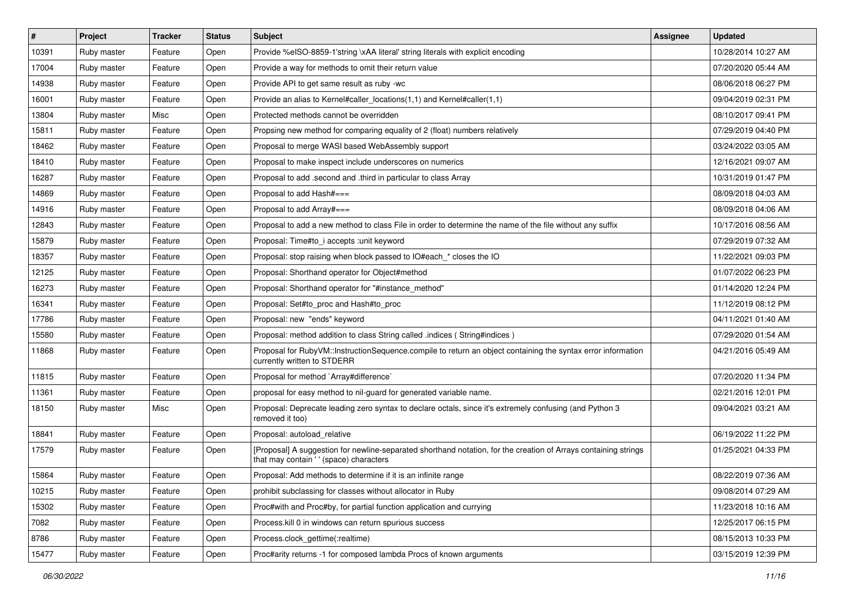| $\vert$ # | Project     | <b>Tracker</b> | <b>Status</b> | <b>Subject</b>                                                                                                                                             | Assignee | <b>Updated</b>      |
|-----------|-------------|----------------|---------------|------------------------------------------------------------------------------------------------------------------------------------------------------------|----------|---------------------|
| 10391     | Ruby master | Feature        | Open          | Provide %eISO-8859-1'string \xAA literal' string literals with explicit encoding                                                                           |          | 10/28/2014 10:27 AM |
| 17004     | Ruby master | Feature        | Open          | Provide a way for methods to omit their return value                                                                                                       |          | 07/20/2020 05:44 AM |
| 14938     | Ruby master | Feature        | Open          | Provide API to get same result as ruby -wc                                                                                                                 |          | 08/06/2018 06:27 PM |
| 16001     | Ruby master | Feature        | Open          | Provide an alias to Kernel#caller_locations(1,1) and Kernel#caller(1,1)                                                                                    |          | 09/04/2019 02:31 PM |
| 13804     | Ruby master | Misc           | Open          | Protected methods cannot be overridden                                                                                                                     |          | 08/10/2017 09:41 PM |
| 15811     | Ruby master | Feature        | Open          | Propsing new method for comparing equality of 2 (float) numbers relatively                                                                                 |          | 07/29/2019 04:40 PM |
| 18462     | Ruby master | Feature        | Open          | Proposal to merge WASI based WebAssembly support                                                                                                           |          | 03/24/2022 03:05 AM |
| 18410     | Ruby master | Feature        | Open          | Proposal to make inspect include underscores on numerics                                                                                                   |          | 12/16/2021 09:07 AM |
| 16287     | Ruby master | Feature        | Open          | Proposal to add .second and .third in particular to class Array                                                                                            |          | 10/31/2019 01:47 PM |
| 14869     | Ruby master | Feature        | Open          | Proposal to add Hash#===                                                                                                                                   |          | 08/09/2018 04:03 AM |
| 14916     | Ruby master | Feature        | Open          | Proposal to add Array#===                                                                                                                                  |          | 08/09/2018 04:06 AM |
| 12843     | Ruby master | Feature        | Open          | Proposal to add a new method to class File in order to determine the name of the file without any suffix                                                   |          | 10/17/2016 08:56 AM |
| 15879     | Ruby master | Feature        | Open          | Proposal: Time#to_i accepts :unit keyword                                                                                                                  |          | 07/29/2019 07:32 AM |
| 18357     | Ruby master | Feature        | Open          | Proposal: stop raising when block passed to IO#each_* closes the IO                                                                                        |          | 11/22/2021 09:03 PM |
| 12125     | Ruby master | Feature        | Open          | Proposal: Shorthand operator for Object#method                                                                                                             |          | 01/07/2022 06:23 PM |
| 16273     | Ruby master | Feature        | Open          | Proposal: Shorthand operator for "#instance_method"                                                                                                        |          | 01/14/2020 12:24 PM |
| 16341     | Ruby master | Feature        | Open          | Proposal: Set#to_proc and Hash#to_proc                                                                                                                     |          | 11/12/2019 08:12 PM |
| 17786     | Ruby master | Feature        | Open          | Proposal: new "ends" keyword                                                                                                                               |          | 04/11/2021 01:40 AM |
| 15580     | Ruby master | Feature        | Open          | Proposal: method addition to class String called .indices (String#indices)                                                                                 |          | 07/29/2020 01:54 AM |
| 11868     | Ruby master | Feature        | Open          | Proposal for RubyVM::InstructionSequence.compile to return an object containing the syntax error information<br>currently written to STDERR                |          | 04/21/2016 05:49 AM |
| 11815     | Ruby master | Feature        | Open          | Proposal for method `Array#difference`                                                                                                                     |          | 07/20/2020 11:34 PM |
| 11361     | Ruby master | Feature        | Open          | proposal for easy method to nil-guard for generated variable name.                                                                                         |          | 02/21/2016 12:01 PM |
| 18150     | Ruby master | Misc           | Open          | Proposal: Deprecate leading zero syntax to declare octals, since it's extremely confusing (and Python 3<br>removed it too)                                 |          | 09/04/2021 03:21 AM |
| 18841     | Ruby master | Feature        | Open          | Proposal: autoload_relative                                                                                                                                |          | 06/19/2022 11:22 PM |
| 17579     | Ruby master | Feature        | Open          | [Proposal] A suggestion for newline-separated shorthand notation, for the creation of Arrays containing strings<br>that may contain ' ' (space) characters |          | 01/25/2021 04:33 PM |
| 15864     | Ruby master | Feature        | Open          | Proposal: Add methods to determine if it is an infinite range                                                                                              |          | 08/22/2019 07:36 AM |
| 10215     | Ruby master | Feature        | Open          | prohibit subclassing for classes without allocator in Ruby                                                                                                 |          | 09/08/2014 07:29 AM |
| 15302     | Ruby master | Feature        | Open          | Proc#with and Proc#by, for partial function application and currying                                                                                       |          | 11/23/2018 10:16 AM |
| 7082      | Ruby master | Feature        | Open          | Process. kill 0 in windows can return spurious success                                                                                                     |          | 12/25/2017 06:15 PM |
| 8786      | Ruby master | Feature        | Open          | Process.clock_gettime(:realtime)                                                                                                                           |          | 08/15/2013 10:33 PM |
| 15477     | Ruby master | Feature        | Open          | Proc#arity returns -1 for composed lambda Procs of known arguments                                                                                         |          | 03/15/2019 12:39 PM |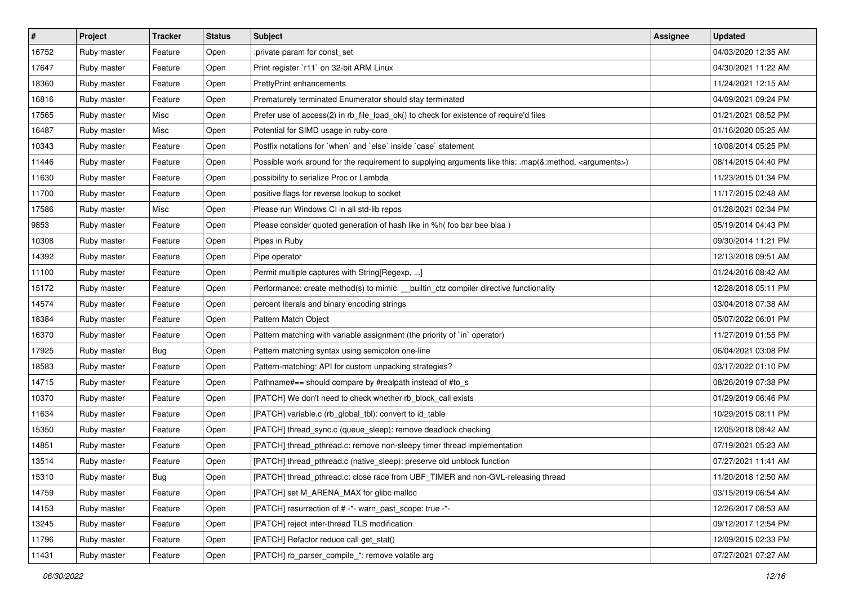| $\sharp$ | Project     | <b>Tracker</b> | <b>Status</b> | <b>Subject</b>                                                                                                     | Assignee | <b>Updated</b>      |
|----------|-------------|----------------|---------------|--------------------------------------------------------------------------------------------------------------------|----------|---------------------|
| 16752    | Ruby master | Feature        | Open          | :private param for const_set                                                                                       |          | 04/03/2020 12:35 AM |
| 17647    | Ruby master | Feature        | Open          | Print register `r11` on 32-bit ARM Linux                                                                           |          | 04/30/2021 11:22 AM |
| 18360    | Ruby master | Feature        | Open          | <b>PrettyPrint enhancements</b>                                                                                    |          | 11/24/2021 12:15 AM |
| 16816    | Ruby master | Feature        | Open          | Prematurely terminated Enumerator should stay terminated                                                           |          | 04/09/2021 09:24 PM |
| 17565    | Ruby master | Misc           | Open          | Prefer use of access(2) in rb_file_load_ok() to check for existence of require'd files                             |          | 01/21/2021 08:52 PM |
| 16487    | Ruby master | Misc           | Open          | Potential for SIMD usage in ruby-core                                                                              |          | 01/16/2020 05:25 AM |
| 10343    | Ruby master | Feature        | Open          | Postfix notations for 'when' and 'else' inside 'case' statement                                                    |          | 10/08/2014 05:25 PM |
| 11446    | Ruby master | Feature        | Open          | Possible work around for the requirement to supplying arguments like this: .map(&:method, <arguments>)</arguments> |          | 08/14/2015 04:40 PM |
| 11630    | Ruby master | Feature        | Open          | possibility to serialize Proc or Lambda                                                                            |          | 11/23/2015 01:34 PM |
| 11700    | Ruby master | Feature        | Open          | positive flags for reverse lookup to socket                                                                        |          | 11/17/2015 02:48 AM |
| 17586    | Ruby master | Misc           | Open          | Please run Windows CI in all std-lib repos                                                                         |          | 01/28/2021 02:34 PM |
| 9853     | Ruby master | Feature        | Open          | Please consider quoted generation of hash like in %h( foo bar bee blaa)                                            |          | 05/19/2014 04:43 PM |
| 10308    | Ruby master | Feature        | Open          | Pipes in Ruby                                                                                                      |          | 09/30/2014 11:21 PM |
| 14392    | Ruby master | Feature        | Open          | Pipe operator                                                                                                      |          | 12/13/2018 09:51 AM |
| 11100    | Ruby master | Feature        | Open          | Permit multiple captures with String[Regexp, ]                                                                     |          | 01/24/2016 08:42 AM |
| 15172    | Ruby master | Feature        | Open          | Performance: create method(s) to mimic __builtin_ctz compiler directive functionality                              |          | 12/28/2018 05:11 PM |
| 14574    | Ruby master | Feature        | Open          | percent literals and binary encoding strings                                                                       |          | 03/04/2018 07:38 AM |
| 18384    | Ruby master | Feature        | Open          | Pattern Match Object                                                                                               |          | 05/07/2022 06:01 PM |
| 16370    | Ruby master | Feature        | Open          | Pattern matching with variable assignment (the priority of `in` operator)                                          |          | 11/27/2019 01:55 PM |
| 17925    | Ruby master | <b>Bug</b>     | Open          | Pattern matching syntax using semicolon one-line                                                                   |          | 06/04/2021 03:08 PM |
| 18583    | Ruby master | Feature        | Open          | Pattern-matching: API for custom unpacking strategies?                                                             |          | 03/17/2022 01:10 PM |
| 14715    | Ruby master | Feature        | Open          | Pathname#== should compare by #realpath instead of #to_s                                                           |          | 08/26/2019 07:38 PM |
| 10370    | Ruby master | Feature        | Open          | [PATCH] We don't need to check whether rb_block_call exists                                                        |          | 01/29/2019 06:46 PM |
| 11634    | Ruby master | Feature        | Open          | [PATCH] variable.c (rb_global_tbl): convert to id_table                                                            |          | 10/29/2015 08:11 PM |
| 15350    | Ruby master | Feature        | Open          | [PATCH] thread_sync.c (queue_sleep): remove deadlock checking                                                      |          | 12/05/2018 08:42 AM |
| 14851    | Ruby master | Feature        | Open          | [PATCH] thread_pthread.c: remove non-sleepy timer thread implementation                                            |          | 07/19/2021 05:23 AM |
| 13514    | Ruby master | Feature        | Open          | [PATCH] thread_pthread.c (native_sleep): preserve old unblock function                                             |          | 07/27/2021 11:41 AM |
| 15310    | Ruby master | <b>Bug</b>     | Open          | [PATCH] thread_pthread.c: close race from UBF_TIMER and non-GVL-releasing thread                                   |          | 11/20/2018 12:50 AM |
| 14759    | Ruby master | Feature        | Open          | [PATCH] set M_ARENA_MAX for glibc malloc                                                                           |          | 03/15/2019 06:54 AM |
| 14153    | Ruby master | Feature        | Open          | [PATCH] resurrection of # -*- warn_past_scope: true -*-                                                            |          | 12/26/2017 08:53 AM |
| 13245    | Ruby master | Feature        | Open          | [PATCH] reject inter-thread TLS modification                                                                       |          | 09/12/2017 12:54 PM |
| 11796    | Ruby master | Feature        | Open          | [PATCH] Refactor reduce call get stat()                                                                            |          | 12/09/2015 02:33 PM |
| 11431    | Ruby master | Feature        | Open          | [PATCH] rb_parser_compile_*: remove volatile arg                                                                   |          | 07/27/2021 07:27 AM |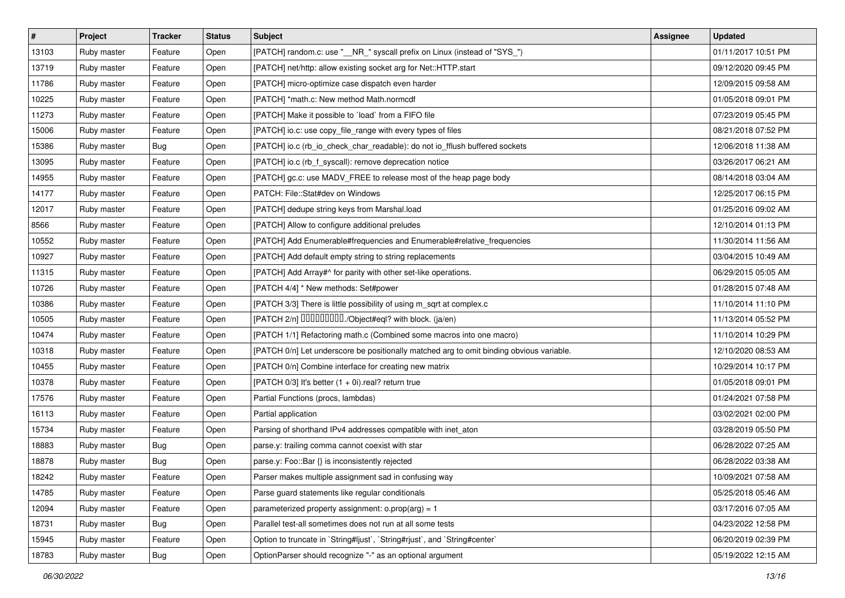| $\vert$ # | Project     | <b>Tracker</b> | <b>Status</b> | <b>Subject</b>                                                                           | Assignee | <b>Updated</b>      |
|-----------|-------------|----------------|---------------|------------------------------------------------------------------------------------------|----------|---------------------|
| 13103     | Ruby master | Feature        | Open          | [PATCH] random.c: use "_NR_" syscall prefix on Linux (instead of "SYS_")                 |          | 01/11/2017 10:51 PM |
| 13719     | Ruby master | Feature        | Open          | [PATCH] net/http: allow existing socket arg for Net::HTTP.start                          |          | 09/12/2020 09:45 PM |
| 11786     | Ruby master | Feature        | Open          | [PATCH] micro-optimize case dispatch even harder                                         |          | 12/09/2015 09:58 AM |
| 10225     | Ruby master | Feature        | Open          | [PATCH] *math.c: New method Math.normcdf                                                 |          | 01/05/2018 09:01 PM |
| 11273     | Ruby master | Feature        | Open          | [PATCH] Make it possible to `load` from a FIFO file                                      |          | 07/23/2019 05:45 PM |
| 15006     | Ruby master | Feature        | Open          | [PATCH] io.c: use copy_file_range with every types of files                              |          | 08/21/2018 07:52 PM |
| 15386     | Ruby master | <b>Bug</b>     | Open          | [PATCH] io.c (rb_io_check_char_readable): do not io_fflush buffered sockets              |          | 12/06/2018 11:38 AM |
| 13095     | Ruby master | Feature        | Open          | [PATCH] io.c (rb_f_syscall): remove deprecation notice                                   |          | 03/26/2017 06:21 AM |
| 14955     | Ruby master | Feature        | Open          | [PATCH] gc.c: use MADV_FREE to release most of the heap page body                        |          | 08/14/2018 03:04 AM |
| 14177     | Ruby master | Feature        | Open          | PATCH: File::Stat#dev on Windows                                                         |          | 12/25/2017 06:15 PM |
| 12017     | Ruby master | Feature        | Open          | [PATCH] dedupe string keys from Marshal.load                                             |          | 01/25/2016 09:02 AM |
| 8566      | Ruby master | Feature        | Open          | [PATCH] Allow to configure additional preludes                                           |          | 12/10/2014 01:13 PM |
| 10552     | Ruby master | Feature        | Open          | [PATCH] Add Enumerable#frequencies and Enumerable#relative_frequencies                   |          | 11/30/2014 11:56 AM |
| 10927     | Ruby master | Feature        | Open          | [PATCH] Add default empty string to string replacements                                  |          | 03/04/2015 10:49 AM |
| 11315     | Ruby master | Feature        | Open          | [PATCH] Add Array#^ for parity with other set-like operations.                           |          | 06/29/2015 05:05 AM |
| 10726     | Ruby master | Feature        | Open          | [PATCH 4/4] * New methods: Set#power                                                     |          | 01/28/2015 07:48 AM |
| 10386     | Ruby master | Feature        | Open          | [PATCH 3/3] There is little possibility of using m_sqrt at complex.c                     |          | 11/10/2014 11:10 PM |
| 10505     | Ruby master | Feature        | Open          | [PATCH 2/n] DDDDDDDD./Object#eql? with block. (ja/en)                                    |          | 11/13/2014 05:52 PM |
| 10474     | Ruby master | Feature        | Open          | [PATCH 1/1] Refactoring math.c (Combined some macros into one macro)                     |          | 11/10/2014 10:29 PM |
| 10318     | Ruby master | Feature        | Open          | [PATCH 0/n] Let underscore be positionally matched arg to omit binding obvious variable. |          | 12/10/2020 08:53 AM |
| 10455     | Ruby master | Feature        | Open          | [PATCH 0/n] Combine interface for creating new matrix                                    |          | 10/29/2014 10:17 PM |
| 10378     | Ruby master | Feature        | Open          | [PATCH 0/3] It's better $(1 + 0i)$ real? return true                                     |          | 01/05/2018 09:01 PM |
| 17576     | Ruby master | Feature        | Open          | Partial Functions (procs, lambdas)                                                       |          | 01/24/2021 07:58 PM |
| 16113     | Ruby master | Feature        | Open          | Partial application                                                                      |          | 03/02/2021 02:00 PM |
| 15734     | Ruby master | Feature        | Open          | Parsing of shorthand IPv4 addresses compatible with inet_aton                            |          | 03/28/2019 05:50 PM |
| 18883     | Ruby master | Bug            | Open          | parse.y: trailing comma cannot coexist with star                                         |          | 06/28/2022 07:25 AM |
| 18878     | Ruby master | Bug            | Open          | parse.y: Foo::Bar {} is inconsistently rejected                                          |          | 06/28/2022 03:38 AM |
| 18242     | Ruby master | Feature        | Open          | Parser makes multiple assignment sad in confusing way                                    |          | 10/09/2021 07:58 AM |
| 14785     | Ruby master | Feature        | Open          | Parse guard statements like regular conditionals                                         |          | 05/25/2018 05:46 AM |
| 12094     | Ruby master | Feature        | Open          | parameterized property assignment: $o.prop(arg) = 1$                                     |          | 03/17/2016 07:05 AM |
| 18731     | Ruby master | <b>Bug</b>     | Open          | Parallel test-all sometimes does not run at all some tests                               |          | 04/23/2022 12:58 PM |
| 15945     | Ruby master | Feature        | Open          | Option to truncate in `String#ljust`, `String#rjust`, and `String#center`                |          | 06/20/2019 02:39 PM |
| 18783     | Ruby master | <b>Bug</b>     | Open          | OptionParser should recognize "-" as an optional argument                                |          | 05/19/2022 12:15 AM |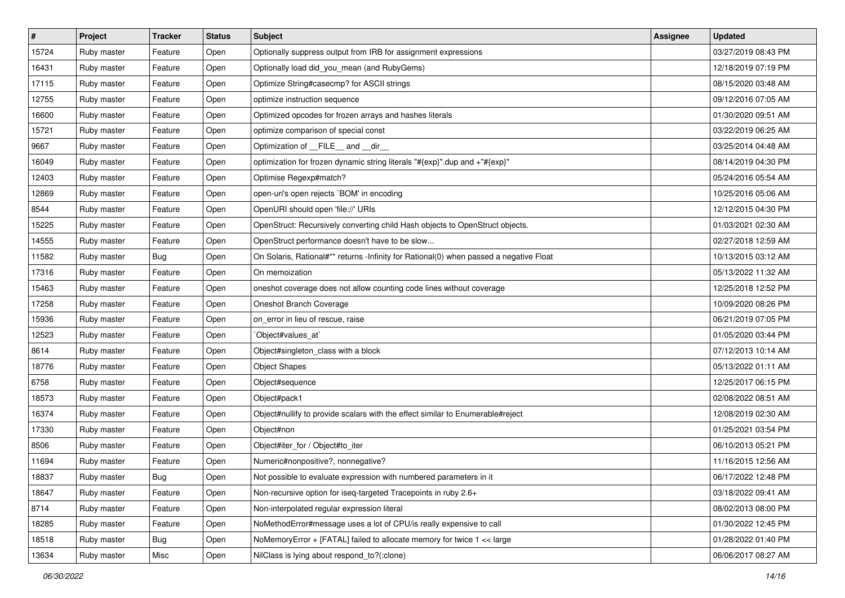| $\vert$ # | Project     | <b>Tracker</b> | <b>Status</b> | <b>Subject</b>                                                                         | Assignee | <b>Updated</b>      |
|-----------|-------------|----------------|---------------|----------------------------------------------------------------------------------------|----------|---------------------|
| 15724     | Ruby master | Feature        | Open          | Optionally suppress output from IRB for assignment expressions                         |          | 03/27/2019 08:43 PM |
| 16431     | Ruby master | Feature        | Open          | Optionally load did_you_mean (and RubyGems)                                            |          | 12/18/2019 07:19 PM |
| 17115     | Ruby master | Feature        | Open          | Optimize String#casecmp? for ASCII strings                                             |          | 08/15/2020 03:48 AM |
| 12755     | Ruby master | Feature        | Open          | optimize instruction sequence                                                          |          | 09/12/2016 07:05 AM |
| 16600     | Ruby master | Feature        | Open          | Optimized opcodes for frozen arrays and hashes literals                                |          | 01/30/2020 09:51 AM |
| 15721     | Ruby master | Feature        | Open          | optimize comparison of special const                                                   |          | 03/22/2019 06:25 AM |
| 9667      | Ruby master | Feature        | Open          | Optimization of FILE_and _dir_                                                         |          | 03/25/2014 04:48 AM |
| 16049     | Ruby master | Feature        | Open          | optimization for frozen dynamic string literals "#{exp}" dup and +"#{exp}"             |          | 08/14/2019 04:30 PM |
| 12403     | Ruby master | Feature        | Open          | Optimise Regexp#match?                                                                 |          | 05/24/2016 05:54 AM |
| 12869     | Ruby master | Feature        | Open          | open-uri's open rejects `BOM' in encoding                                              |          | 10/25/2016 05:06 AM |
| 8544      | Ruby master | Feature        | Open          | OpenURI should open 'file://' URIs                                                     |          | 12/12/2015 04:30 PM |
| 15225     | Ruby master | Feature        | Open          | OpenStruct: Recursively converting child Hash objects to OpenStruct objects.           |          | 01/03/2021 02:30 AM |
| 14555     | Ruby master | Feature        | Open          | OpenStruct performance doesn't have to be slow                                         |          | 02/27/2018 12:59 AM |
| 11582     | Ruby master | <b>Bug</b>     | Open          | On Solaris, Rational#** returns -Infinity for Rational(0) when passed a negative Float |          | 10/13/2015 03:12 AM |
| 17316     | Ruby master | Feature        | Open          | On memoization                                                                         |          | 05/13/2022 11:32 AM |
| 15463     | Ruby master | Feature        | Open          | oneshot coverage does not allow counting code lines without coverage                   |          | 12/25/2018 12:52 PM |
| 17258     | Ruby master | Feature        | Open          | Oneshot Branch Coverage                                                                |          | 10/09/2020 08:26 PM |
| 15936     | Ruby master | Feature        | Open          | on_error in lieu of rescue, raise                                                      |          | 06/21/2019 07:05 PM |
| 12523     | Ruby master | Feature        | Open          | `Object#values_at`                                                                     |          | 01/05/2020 03:44 PM |
| 8614      | Ruby master | Feature        | Open          | Object#singleton_class with a block                                                    |          | 07/12/2013 10:14 AM |
| 18776     | Ruby master | Feature        | Open          | <b>Object Shapes</b>                                                                   |          | 05/13/2022 01:11 AM |
| 6758      | Ruby master | Feature        | Open          | Object#sequence                                                                        |          | 12/25/2017 06:15 PM |
| 18573     | Ruby master | Feature        | Open          | Object#pack1                                                                           |          | 02/08/2022 08:51 AM |
| 16374     | Ruby master | Feature        | Open          | Object#nullify to provide scalars with the effect similar to Enumerable#reject         |          | 12/08/2019 02:30 AM |
| 17330     | Ruby master | Feature        | Open          | Object#non                                                                             |          | 01/25/2021 03:54 PM |
| 8506      | Ruby master | Feature        | Open          | Object#iter_for / Object#to_iter                                                       |          | 06/10/2013 05:21 PM |
| 11694     | Ruby master | Feature        | Open          | Numeric#nonpositive?, nonnegative?                                                     |          | 11/16/2015 12:56 AM |
| 18837     | Ruby master | <b>Bug</b>     | Open          | Not possible to evaluate expression with numbered parameters in it                     |          | 06/17/2022 12:48 PM |
| 18647     | Ruby master | Feature        | Open          | Non-recursive option for iseq-targeted Tracepoints in ruby 2.6+                        |          | 03/18/2022 09:41 AM |
| 8714      | Ruby master | Feature        | Open          | Non-interpolated regular expression literal                                            |          | 08/02/2013 08:00 PM |
| 18285     | Ruby master | Feature        | Open          | NoMethodError#message uses a lot of CPU/is really expensive to call                    |          | 01/30/2022 12:45 PM |
| 18518     | Ruby master | Bug            | Open          | NoMemoryError + [FATAL] failed to allocate memory for twice 1 << large                 |          | 01/28/2022 01:40 PM |
| 13634     | Ruby master | Misc           | Open          | NilClass is lying about respond_to?(:clone)                                            |          | 06/06/2017 08:27 AM |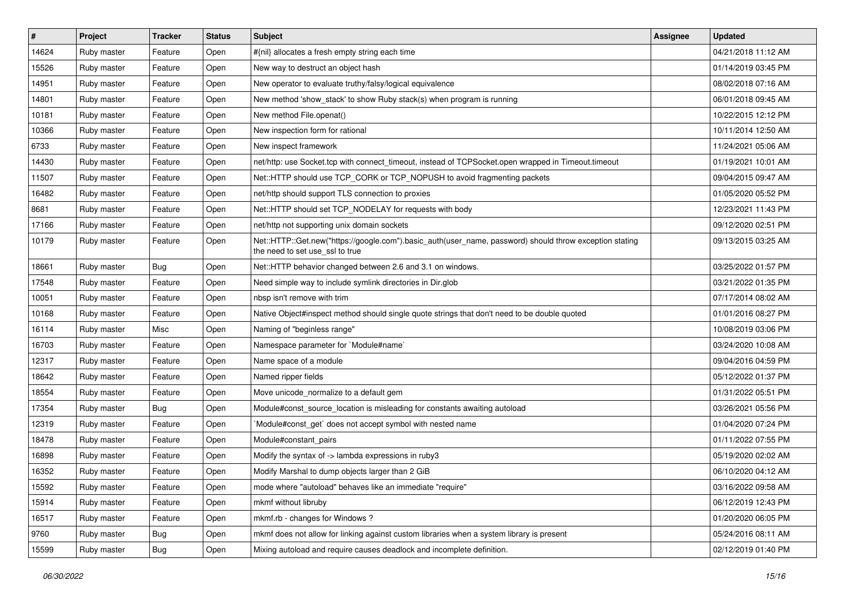| $\vert$ # | Project     | <b>Tracker</b> | <b>Status</b> | <b>Subject</b>                                                                                                                             | Assignee | <b>Updated</b>      |
|-----------|-------------|----------------|---------------|--------------------------------------------------------------------------------------------------------------------------------------------|----------|---------------------|
| 14624     | Ruby master | Feature        | Open          | #{nil} allocates a fresh empty string each time                                                                                            |          | 04/21/2018 11:12 AM |
| 15526     | Ruby master | Feature        | Open          | New way to destruct an object hash                                                                                                         |          | 01/14/2019 03:45 PM |
| 14951     | Ruby master | Feature        | Open          | New operator to evaluate truthy/falsy/logical equivalence                                                                                  |          | 08/02/2018 07:16 AM |
| 14801     | Ruby master | Feature        | Open          | New method 'show_stack' to show Ruby stack(s) when program is running                                                                      |          | 06/01/2018 09:45 AM |
| 10181     | Ruby master | Feature        | Open          | New method File.openat()                                                                                                                   |          | 10/22/2015 12:12 PM |
| 10366     | Ruby master | Feature        | Open          | New inspection form for rational                                                                                                           |          | 10/11/2014 12:50 AM |
| 6733      | Ruby master | Feature        | Open          | New inspect framework                                                                                                                      |          | 11/24/2021 05:06 AM |
| 14430     | Ruby master | Feature        | Open          | net/http: use Socket.tcp with connect_timeout, instead of TCPSocket.open wrapped in Timeout.timeout                                        |          | 01/19/2021 10:01 AM |
| 11507     | Ruby master | Feature        | Open          | Net::HTTP should use TCP_CORK or TCP_NOPUSH to avoid fragmenting packets                                                                   |          | 09/04/2015 09:47 AM |
| 16482     | Ruby master | Feature        | Open          | net/http should support TLS connection to proxies                                                                                          |          | 01/05/2020 05:52 PM |
| 8681      | Ruby master | Feature        | Open          | Net::HTTP should set TCP_NODELAY for requests with body                                                                                    |          | 12/23/2021 11:43 PM |
| 17166     | Ruby master | Feature        | Open          | net/http not supporting unix domain sockets                                                                                                |          | 09/12/2020 02:51 PM |
| 10179     | Ruby master | Feature        | Open          | Net::HTTP::Get.new("https://google.com").basic_auth(user_name, password) should throw exception stating<br>the need to set use_ssl to true |          | 09/13/2015 03:25 AM |
| 18661     | Ruby master | Bug            | Open          | Net::HTTP behavior changed between 2.6 and 3.1 on windows.                                                                                 |          | 03/25/2022 01:57 PM |
| 17548     | Ruby master | Feature        | Open          | Need simple way to include symlink directories in Dir.glob                                                                                 |          | 03/21/2022 01:35 PM |
| 10051     | Ruby master | Feature        | Open          | nbsp isn't remove with trim                                                                                                                |          | 07/17/2014 08:02 AM |
| 10168     | Ruby master | Feature        | Open          | Native Object#inspect method should single quote strings that don't need to be double quoted                                               |          | 01/01/2016 08:27 PM |
| 16114     | Ruby master | Misc           | Open          | Naming of "beginless range"                                                                                                                |          | 10/08/2019 03:06 PM |
| 16703     | Ruby master | Feature        | Open          | Namespace parameter for `Module#name`                                                                                                      |          | 03/24/2020 10:08 AM |
| 12317     | Ruby master | Feature        | Open          | Name space of a module                                                                                                                     |          | 09/04/2016 04:59 PM |
| 18642     | Ruby master | Feature        | Open          | Named ripper fields                                                                                                                        |          | 05/12/2022 01:37 PM |
| 18554     | Ruby master | Feature        | Open          | Move unicode_normalize to a default gem                                                                                                    |          | 01/31/2022 05:51 PM |
| 17354     | Ruby master | Bug            | Open          | Module#const_source_location is misleading for constants awaiting autoload                                                                 |          | 03/26/2021 05:56 PM |
| 12319     | Ruby master | Feature        | Open          | Module#const_get` does not accept symbol with nested name                                                                                  |          | 01/04/2020 07:24 PM |
| 18478     | Ruby master | Feature        | Open          | Module#constant_pairs                                                                                                                      |          | 01/11/2022 07:55 PM |
| 16898     | Ruby master | Feature        | Open          | Modify the syntax of -> lambda expressions in ruby3                                                                                        |          | 05/19/2020 02:02 AM |
| 16352     | Ruby master | Feature        | Open          | Modify Marshal to dump objects larger than 2 GiB                                                                                           |          | 06/10/2020 04:12 AM |
| 15592     | Ruby master | Feature        | Open          | mode where "autoload" behaves like an immediate "require"                                                                                  |          | 03/16/2022 09:58 AM |
| 15914     | Ruby master | Feature        | Open          | mkmf without libruby                                                                                                                       |          | 06/12/2019 12:43 PM |
| 16517     | Ruby master | Feature        | Open          | mkmf.rb - changes for Windows?                                                                                                             |          | 01/20/2020 06:05 PM |
| 9760      | Ruby master | <b>Bug</b>     | Open          | mkmf does not allow for linking against custom libraries when a system library is present                                                  |          | 05/24/2016 08:11 AM |
| 15599     | Ruby master | <b>Bug</b>     | Open          | Mixing autoload and require causes deadlock and incomplete definition.                                                                     |          | 02/12/2019 01:40 PM |